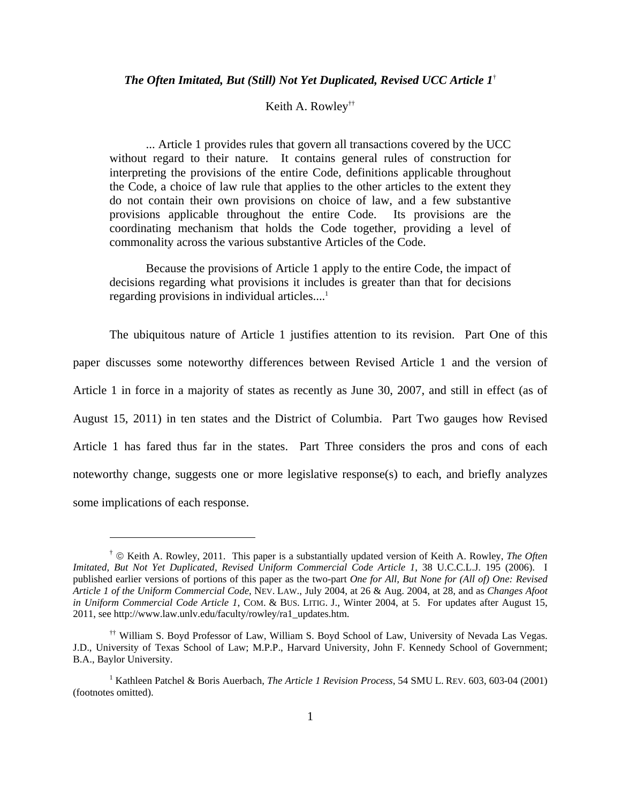Keith A. Rowley††

... Article 1 provides rules that govern all transactions covered by the UCC without regard to their nature. It contains general rules of construction for interpreting the provisions of the entire Code, definitions applicable throughout the Code, a choice of law rule that applies to the other articles to the extent they do not contain their own provisions on choice of law, and a few substantive provisions applicable throughout the entire Code. Its provisions are the coordinating mechanism that holds the Code together, providing a level of commonality across the various substantive Articles of the Code.

Because the provisions of Article 1 apply to the entire Code, the impact of decisions regarding what provisions it includes is greater than that for decisions regarding provisions in individual articles....<sup>1</sup>

The ubiquitous nature of Article 1 justifies attention to its revision. Part One of this paper discusses some noteworthy differences between Revised Article 1 and the version of Article 1 in force in a majority of states as recently as June 30, 2007, and still in effect (as of August 15, 2011) in ten states and the District of Columbia. Part Two gauges how Revised Article 1 has fared thus far in the states. Part Three considers the pros and cons of each noteworthy change, suggests one or more legislative response(s) to each, and briefly analyzes some implications of each response.

<sup>†</sup> © Keith A. Rowley, 2011. This paper is a substantially updated version of Keith A. Rowley, *The Often Imitated, But Not Yet Duplicated, Revised Uniform Commercial Code Article 1*, 38 U.C.C.L.J. 195 (2006). I published earlier versions of portions of this paper as the two-part *One for All, But None for (All of) One: Revised Article 1 of the Uniform Commercial Code*, NEV. LAW., July 2004, at 26 & Aug. 2004, at 28, and as *Changes Afoot in Uniform Commercial Code Article 1*, COM. & BUS. LITIG. J., Winter 2004, at 5. For updates after August 15, 2011, see http://www.law.unlv.edu/faculty/rowley/ra1\_updates.htm.

<sup>††</sup> William S. Boyd Professor of Law, William S. Boyd School of Law, University of Nevada Las Vegas. J.D., University of Texas School of Law; M.P.P., Harvard University, John F. Kennedy School of Government; B.A., Baylor University.

<sup>&</sup>lt;sup>1</sup> Kathleen Patchel & Boris Auerbach, *The Article 1 Revision Process*, 54 SMU L. REV. 603, 603-04 (2001) (footnotes omitted).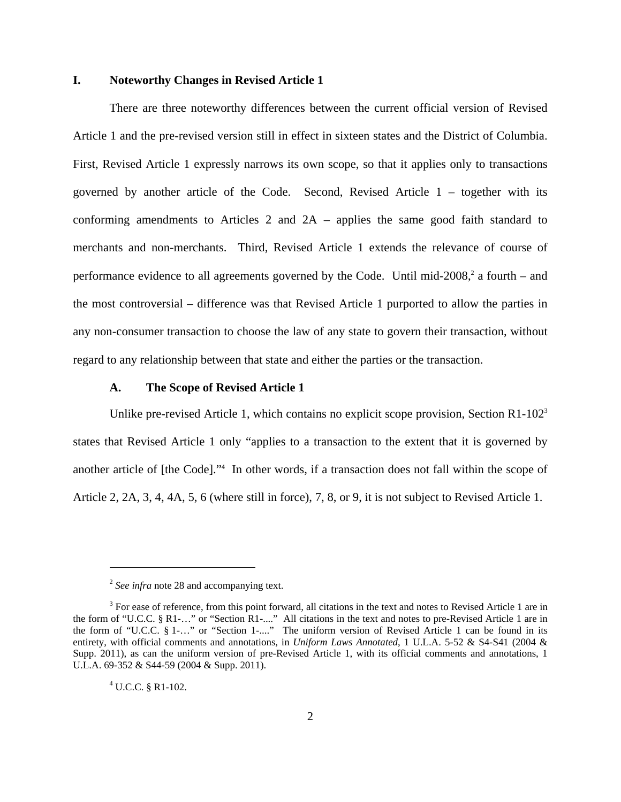# **I. Noteworthy Changes in Revised Article 1**

There are three noteworthy differences between the current official version of Revised Article 1 and the pre-revised version still in effect in sixteen states and the District of Columbia. First, Revised Article 1 expressly narrows its own scope, so that it applies only to transactions governed by another article of the Code. Second, Revised Article 1 – together with its conforming amendments to Articles 2 and 2A – applies the same good faith standard to merchants and non-merchants. Third, Revised Article 1 extends the relevance of course of performance evidence to all agreements governed by the Code. Until mid- $2008$ , a fourth – and the most controversial – difference was that Revised Article 1 purported to allow the parties in any non-consumer transaction to choose the law of any state to govern their transaction, without regard to any relationship between that state and either the parties or the transaction.

# **A. The Scope of Revised Article 1**

Unlike pre-revised Article 1, which contains no explicit scope provision, Section  $R1-102^3$ states that Revised Article 1 only "applies to a transaction to the extent that it is governed by another article of [the Code]."4 In other words, if a transaction does not fall within the scope of Article 2, 2A, 3, 4, 4A, 5, 6 (where still in force), 7, 8, or 9, it is not subject to Revised Article 1.

<sup>&</sup>lt;sup>2</sup> *See infra* note 28 and accompanying text.

 $3$  For ease of reference, from this point forward, all citations in the text and notes to Revised Article 1 are in the form of "U.C.C. § R1-…" or "Section R1-...." All citations in the text and notes to pre-Revised Article 1 are in the form of "U.C.C. § 1-…" or "Section 1-...." The uniform version of Revised Article 1 can be found in its entirety, with official comments and annotations, in *Uniform Laws Annotated*, 1 U.L.A. 5-52 & S4-S41 (2004 & Supp. 2011), as can the uniform version of pre-Revised Article 1, with its official comments and annotations, 1 U.L.A. 69-352 & S44-59 (2004 & Supp. 2011).

 $4$  U.C.C. § R1-102.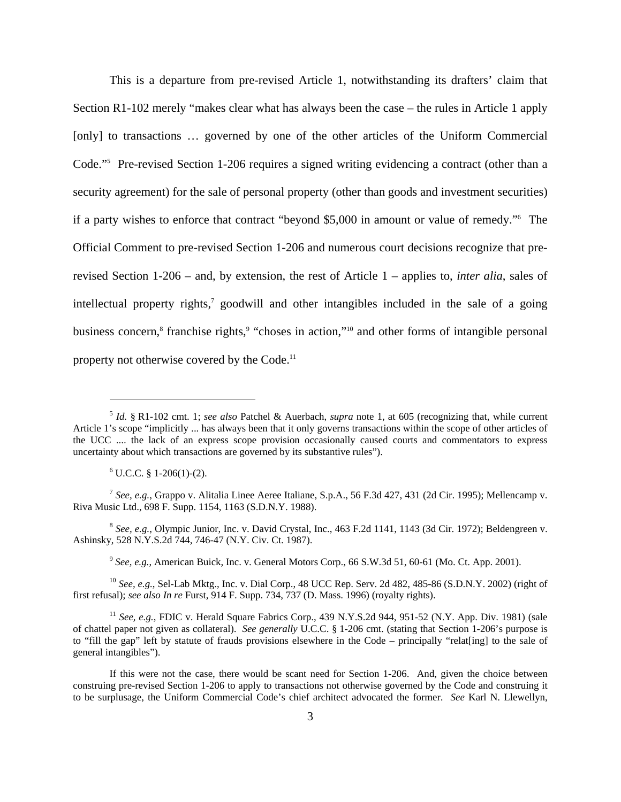This is a departure from pre-revised Article 1, notwithstanding its drafters' claim that Section R1-102 merely "makes clear what has always been the case – the rules in Article 1 apply [only] to transactions ... governed by one of the other articles of the Uniform Commercial Code."5 Pre-revised Section 1-206 requires a signed writing evidencing a contract (other than a security agreement) for the sale of personal property (other than goods and investment securities) if a party wishes to enforce that contract "beyond \$5,000 in amount or value of remedy."6 The Official Comment to pre-revised Section 1-206 and numerous court decisions recognize that prerevised Section 1-206 – and, by extension, the rest of Article 1 – applies to, *inter alia*, sales of intellectual property rights,<sup>7</sup> goodwill and other intangibles included in the sale of a going business concern,<sup>8</sup> franchise rights,<sup>9</sup> "choses in action,"<sup>10</sup> and other forms of intangible personal property not otherwise covered by the Code.<sup>11</sup>

 $6$  U.C.C. § 1-206(1)-(2).

1

<sup>7</sup> *See, e.g.*, Grappo v. Alitalia Linee Aeree Italiane, S.p.A., 56 F.3d 427, 431 (2d Cir. 1995); Mellencamp v. Riva Music Ltd., 698 F. Supp. 1154, 1163 (S.D.N.Y. 1988).

<sup>8</sup> *See, e.g.*, Olympic Junior, Inc. v. David Crystal, Inc., 463 F.2d 1141, 1143 (3d Cir. 1972); Beldengreen v. Ashinsky, 528 N.Y.S.2d 744, 746-47 (N.Y. Civ. Ct. 1987).

<sup>9</sup> *See, e.g.*, American Buick, Inc. v. General Motors Corp., 66 S.W.3d 51, 60-61 (Mo. Ct. App. 2001).

<sup>10</sup> *See, e.g.*, Sel-Lab Mktg., Inc. v. Dial Corp., 48 UCC Rep. Serv. 2d 482, 485-86 (S.D.N.Y. 2002) (right of first refusal); *see also In re* Furst, 914 F. Supp. 734, 737 (D. Mass. 1996) (royalty rights).

<sup>11</sup> *See, e.g.*, FDIC v. Herald Square Fabrics Corp., 439 N.Y.S.2d 944, 951-52 (N.Y. App. Div. 1981) (sale of chattel paper not given as collateral). *See generally* U.C.C. § 1-206 cmt. (stating that Section 1-206's purpose is to "fill the gap" left by statute of frauds provisions elsewhere in the Code – principally "relateling] to the sale of general intangibles").

If this were not the case, there would be scant need for Section 1-206. And, given the choice between construing pre-revised Section 1-206 to apply to transactions not otherwise governed by the Code and construing it to be surplusage, the Uniform Commercial Code's chief architect advocated the former. *See* Karl N. Llewellyn,

<sup>5</sup> *Id.* § R1-102 cmt. 1; *see also* Patchel & Auerbach, *supra* note 1, at 605 (recognizing that, while current Article 1's scope "implicitly ... has always been that it only governs transactions within the scope of other articles of the UCC .... the lack of an express scope provision occasionally caused courts and commentators to express uncertainty about which transactions are governed by its substantive rules").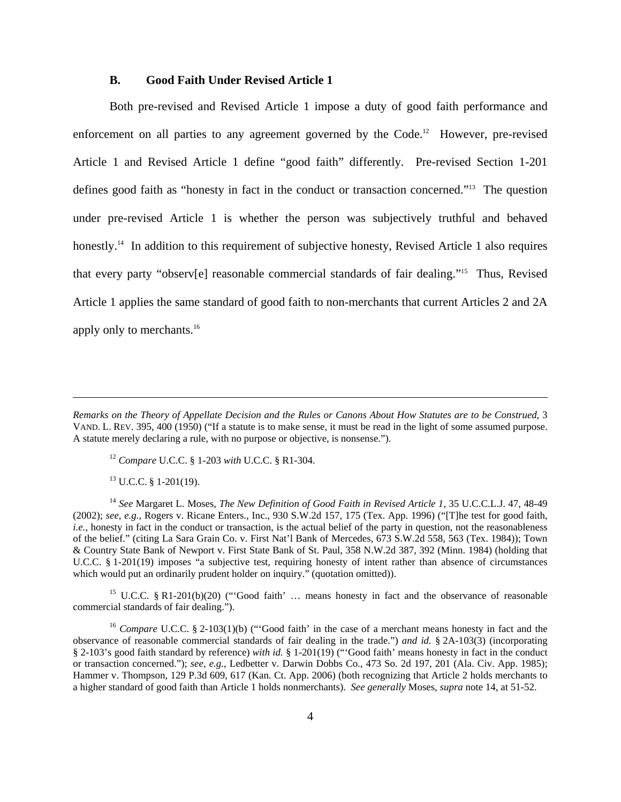# **B. Good Faith Under Revised Article 1**

Both pre-revised and Revised Article 1 impose a duty of good faith performance and enforcement on all parties to any agreement governed by the Code.<sup>12</sup> However, pre-revised Article 1 and Revised Article 1 define "good faith" differently. Pre-revised Section 1-201 defines good faith as "honesty in fact in the conduct or transaction concerned."13 The question under pre-revised Article 1 is whether the person was subjectively truthful and behaved honestly.<sup>14</sup> In addition to this requirement of subjective honesty, Revised Article 1 also requires that every party "observ[e] reasonable commercial standards of fair dealing."15 Thus, Revised Article 1 applies the same standard of good faith to non-merchants that current Articles 2 and 2A apply only to merchants.<sup>16</sup>

<sup>12</sup> *Compare* U.C.C. § 1-203 *with* U.C.C. § R1-304.

 $13$  U.C.C. § 1-201(19).

 $\overline{a}$ 

<sup>14</sup> *See* Margaret L. Moses, *The New Definition of Good Faith in Revised Article 1*, 35 U.C.C.L.J. 47, 48-49 (2002); *see, e.g.*, Rogers v. Ricane Enters., Inc., 930 S.W.2d 157, 175 (Tex. App. 1996) ("[T]he test for good faith, *i.e.*, honesty in fact in the conduct or transaction, is the actual belief of the party in question, not the reasonableness of the belief." (citing La Sara Grain Co. v. First Nat'l Bank of Mercedes, 673 S.W.2d 558, 563 (Tex. 1984)); Town & Country State Bank of Newport v. First State Bank of St. Paul, 358 N.W.2d 387, 392 (Minn. 1984) (holding that U.C.C. § 1-201(19) imposes "a subjective test, requiring honesty of intent rather than absence of circumstances which would put an ordinarily prudent holder on inquiry." (quotation omitted)).

<sup>15</sup> U.C.C. § R1-201(b)(20) ("Good faith' ... means honesty in fact and the observance of reasonable commercial standards of fair dealing.").

<sup>16</sup> *Compare* U.C.C. § 2-103(1)(b) ("Good faith' in the case of a merchant means honesty in fact and the observance of reasonable commercial standards of fair dealing in the trade.") *and id.* § 2A-103(3) (incorporating § 2-103's good faith standard by reference) *with id.* § 1-201(19) ("'Good faith' means honesty in fact in the conduct or transaction concerned."); *see, e.g.*, Ledbetter v. Darwin Dobbs Co., 473 So. 2d 197, 201 (Ala. Civ. App. 1985); Hammer v. Thompson, 129 P.3d 609, 617 (Kan. Ct. App. 2006) (both recognizing that Article 2 holds merchants to a higher standard of good faith than Article 1 holds nonmerchants). *See generally* Moses, *supra* note 14, at 51-52.

*Remarks on the Theory of Appellate Decision and the Rules or Canons About How Statutes are to be Construed*, 3 VAND. L. REV. 395, 400 (1950) ("If a statute is to make sense, it must be read in the light of some assumed purpose. A statute merely declaring a rule, with no purpose or objective, is nonsense.").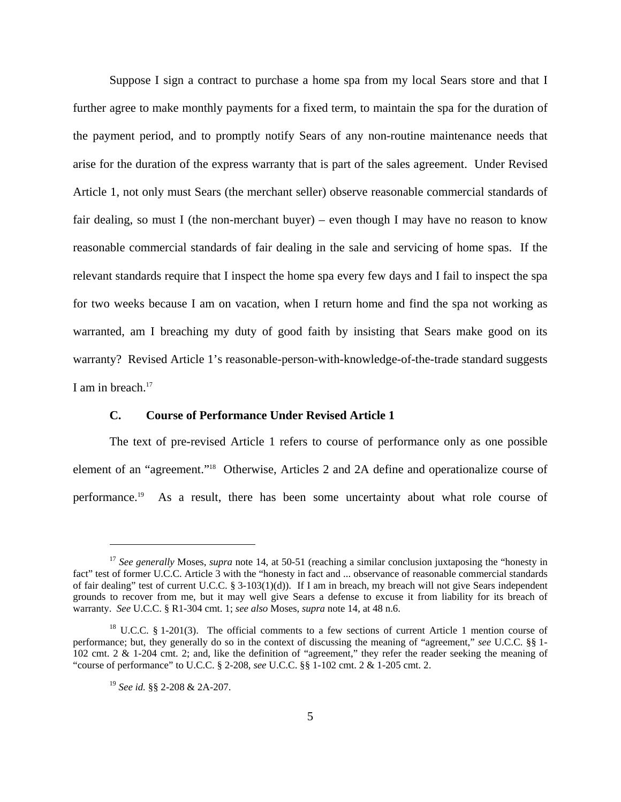Suppose I sign a contract to purchase a home spa from my local Sears store and that I further agree to make monthly payments for a fixed term, to maintain the spa for the duration of the payment period, and to promptly notify Sears of any non-routine maintenance needs that arise for the duration of the express warranty that is part of the sales agreement. Under Revised Article 1, not only must Sears (the merchant seller) observe reasonable commercial standards of fair dealing, so must I (the non-merchant buyer) – even though I may have no reason to know reasonable commercial standards of fair dealing in the sale and servicing of home spas. If the relevant standards require that I inspect the home spa every few days and I fail to inspect the spa for two weeks because I am on vacation, when I return home and find the spa not working as warranted, am I breaching my duty of good faith by insisting that Sears make good on its warranty? Revised Article 1's reasonable-person-with-knowledge-of-the-trade standard suggests I am in breach.<sup>17</sup>

# **C. Course of Performance Under Revised Article 1**

The text of pre-revised Article 1 refers to course of performance only as one possible element of an "agreement."18 Otherwise, Articles 2 and 2A define and operationalize course of performance.19 As a result, there has been some uncertainty about what role course of

<sup>&</sup>lt;sup>17</sup> See generally Moses, *supra* note 14, at 50-51 (reaching a similar conclusion juxtaposing the "honesty in fact" test of former U.C.C. Article 3 with the "honesty in fact and ... observance of reasonable commercial standards of fair dealing" test of current U.C.C. § 3-103(1)(d)). If I am in breach, my breach will not give Sears independent grounds to recover from me, but it may well give Sears a defense to excuse it from liability for its breach of warranty. *See* U.C.C. § R1-304 cmt. 1; *see also* Moses, *supra* note 14, at 48 n.6.

 $18$  U.C.C. § 1-201(3). The official comments to a few sections of current Article 1 mention course of performance; but, they generally do so in the context of discussing the meaning of "agreement," *see* U.C.C. §§ 1- 102 cmt. 2 & 1-204 cmt. 2; and, like the definition of "agreement," they refer the reader seeking the meaning of "course of performance" to U.C.C. § 2-208, *see* U.C.C. §§ 1-102 cmt. 2 & 1-205 cmt. 2.

<sup>19</sup> *See id.* §§ 2-208 & 2A-207.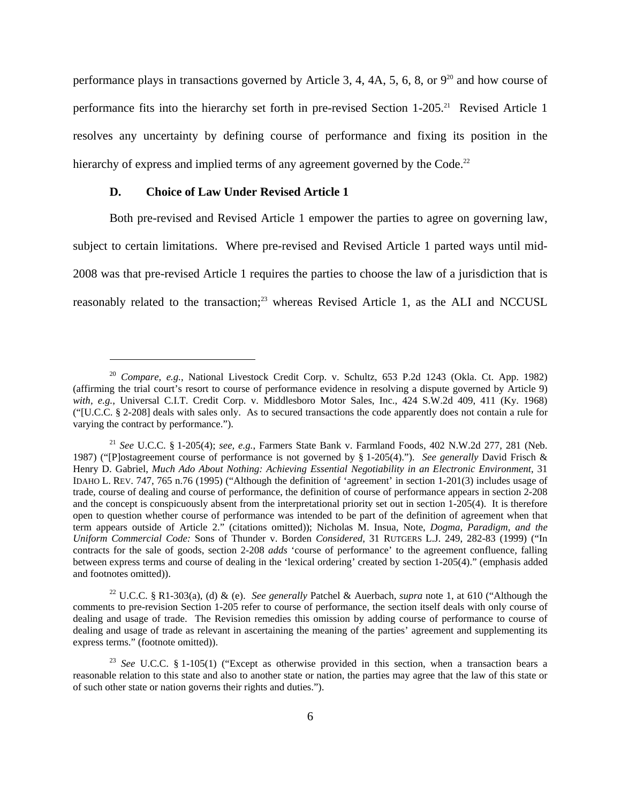performance plays in transactions governed by Article 3, 4, 4A, 5, 6, 8, or  $9^{20}$  and how course of performance fits into the hierarchy set forth in pre-revised Section 1-205.<sup>21</sup> Revised Article 1 resolves any uncertainty by defining course of performance and fixing its position in the hierarchy of express and implied terms of any agreement governed by the Code.<sup>22</sup>

# **D. Choice of Law Under Revised Article 1**

 $\overline{a}$ 

Both pre-revised and Revised Article 1 empower the parties to agree on governing law, subject to certain limitations. Where pre-revised and Revised Article 1 parted ways until mid-2008 was that pre-revised Article 1 requires the parties to choose the law of a jurisdiction that is reasonably related to the transaction;<sup>23</sup> whereas Revised Article 1, as the ALI and NCCUSL

22 U.C.C. § R1-303(a), (d) & (e). *See generally* Patchel & Auerbach, *supra* note 1, at 610 ("Although the comments to pre-revision Section 1-205 refer to course of performance, the section itself deals with only course of dealing and usage of trade. The Revision remedies this omission by adding course of performance to course of dealing and usage of trade as relevant in ascertaining the meaning of the parties' agreement and supplementing its express terms." (footnote omitted)).

<sup>20</sup> *Compare, e.g.*, National Livestock Credit Corp. v. Schultz, 653 P.2d 1243 (Okla. Ct. App. 1982) (affirming the trial court's resort to course of performance evidence in resolving a dispute governed by Article 9) with, e.g., Universal C.I.T. Credit Corp. v. Middlesboro Motor Sales, Inc., 424 S.W.2d 409, 411 (Ky. 1968) ("[U.C.C. § 2-208] deals with sales only. As to secured transactions the code apparently does not contain a rule for varying the contract by performance.").

<sup>21</sup> *See* U.C.C. § 1-205(4); *see, e.g.*, Farmers State Bank v. Farmland Foods, 402 N.W.2d 277, 281 (Neb. 1987) ("[P]ostagreement course of performance is not governed by § 1-205(4)."). *See generally* David Frisch & Henry D. Gabriel, *Much Ado About Nothing: Achieving Essential Negotiability in an Electronic Environment*, 31 IDAHO L. REV. 747, 765 n.76 (1995) ("Although the definition of 'agreement' in section 1-201(3) includes usage of trade, course of dealing and course of performance, the definition of course of performance appears in section 2-208 and the concept is conspicuously absent from the interpretational priority set out in section 1-205(4). It is therefore open to question whether course of performance was intended to be part of the definition of agreement when that term appears outside of Article 2." (citations omitted)); Nicholas M. Insua, Note, *Dogma, Paradigm, and the Uniform Commercial Code:* Sons of Thunder v. Borden *Considered*, 31 RUTGERS L.J. 249, 282-83 (1999) ("In contracts for the sale of goods, section 2-208 *adds* 'course of performance' to the agreement confluence, falling between express terms and course of dealing in the 'lexical ordering' created by section 1-205(4)." (emphasis added and footnotes omitted)).

<sup>23</sup> *See* U.C.C. § 1-105(1) ("Except as otherwise provided in this section, when a transaction bears a reasonable relation to this state and also to another state or nation, the parties may agree that the law of this state or of such other state or nation governs their rights and duties.").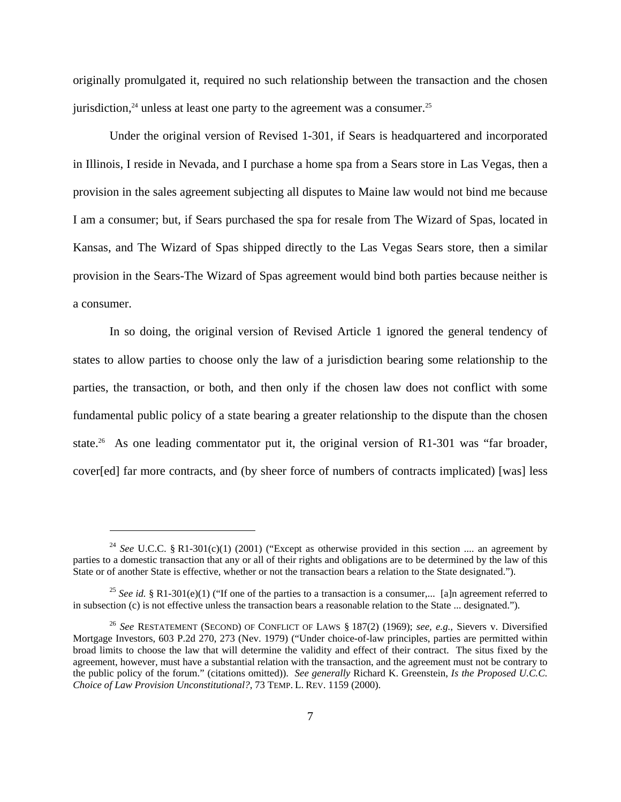originally promulgated it, required no such relationship between the transaction and the chosen jurisdiction, $24$  unless at least one party to the agreement was a consumer.<sup>25</sup>

Under the original version of Revised 1-301, if Sears is headquartered and incorporated in Illinois, I reside in Nevada, and I purchase a home spa from a Sears store in Las Vegas, then a provision in the sales agreement subjecting all disputes to Maine law would not bind me because I am a consumer; but, if Sears purchased the spa for resale from The Wizard of Spas, located in Kansas, and The Wizard of Spas shipped directly to the Las Vegas Sears store, then a similar provision in the Sears-The Wizard of Spas agreement would bind both parties because neither is a consumer.

In so doing, the original version of Revised Article 1 ignored the general tendency of states to allow parties to choose only the law of a jurisdiction bearing some relationship to the parties, the transaction, or both, and then only if the chosen law does not conflict with some fundamental public policy of a state bearing a greater relationship to the dispute than the chosen state.<sup>26</sup> As one leading commentator put it, the original version of R1-301 was "far broader, cover[ed] far more contracts, and (by sheer force of numbers of contracts implicated) [was] less

<sup>&</sup>lt;sup>24</sup> *See* U.C.C. § R1-301(c)(1) (2001) ("Except as otherwise provided in this section .... an agreement by parties to a domestic transaction that any or all of their rights and obligations are to be determined by the law of this State or of another State is effective, whether or not the transaction bears a relation to the State designated.").

<sup>&</sup>lt;sup>25</sup> *See id.* § R1-301(e)(1) ("If one of the parties to a transaction is a consumer,... [a]n agreement referred to in subsection (c) is not effective unless the transaction bears a reasonable relation to the State ... designated.").

<sup>26</sup> *See* RESTATEMENT (SECOND) OF CONFLICT OF LAWS § 187(2) (1969); *see, e.g.*, Sievers v. Diversified Mortgage Investors, 603 P.2d 270, 273 (Nev. 1979) ("Under choice-of-law principles, parties are permitted within broad limits to choose the law that will determine the validity and effect of their contract. The situs fixed by the agreement, however, must have a substantial relation with the transaction, and the agreement must not be contrary to the public policy of the forum." (citations omitted)). *See generally* Richard K. Greenstein, *Is the Proposed U.C.C. Choice of Law Provision Unconstitutional?*, 73 TEMP. L. REV. 1159 (2000).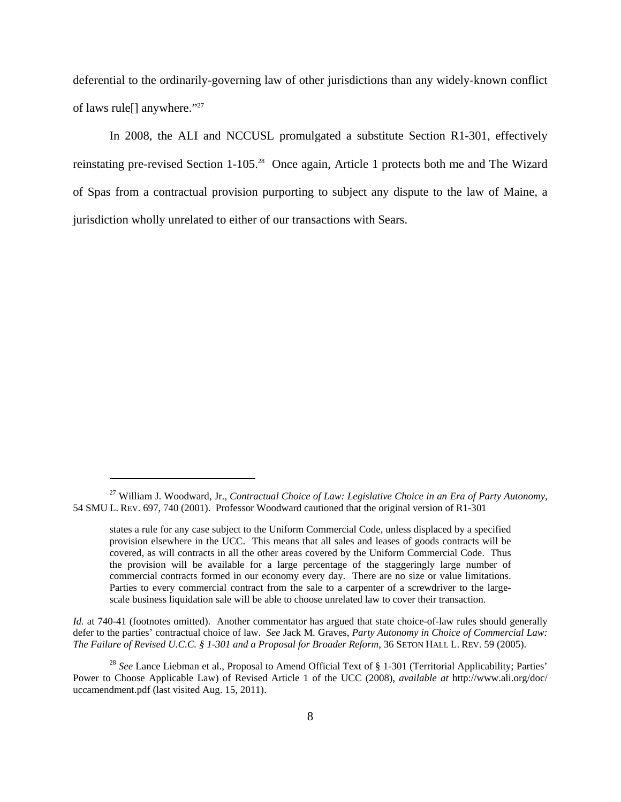deferential to the ordinarily-governing law of other jurisdictions than any widely-known conflict of laws rule[] anywhere."27

In 2008, the ALI and NCCUSL promulgated a substitute Section R1-301, effectively reinstating pre-revised Section 1-105.28 Once again, Article 1 protects both me and The Wizard of Spas from a contractual provision purporting to subject any dispute to the law of Maine, a jurisdiction wholly unrelated to either of our transactions with Sears.

 $\overline{a}$ 

*Id.* at 740-41 (footnotes omitted). Another commentator has argued that state choice-of-law rules should generally defer to the parties' contractual choice of law. *See* Jack M. Graves, *Party Autonomy in Choice of Commercial Law: The Failure of Revised U.C.C. § 1-301 and a Proposal for Broader Reform*, 36 SETON HALL L. REV. 59 (2005).

<sup>27</sup> William J. Woodward, Jr., *Contractual Choice of Law: Legislative Choice in an Era of Party Autonomy*, 54 SMU L. REV. 697, 740 (2001). Professor Woodward cautioned that the original version of R1-301

states a rule for any case subject to the Uniform Commercial Code, unless displaced by a specified provision elsewhere in the UCC. This means that all sales and leases of goods contracts will be covered, as will contracts in all the other areas covered by the Uniform Commercial Code. Thus the provision will be available for a large percentage of the staggeringly large number of commercial contracts formed in our economy every day. There are no size or value limitations. Parties to every commercial contract from the sale to a carpenter of a screwdriver to the largescale business liquidation sale will be able to choose unrelated law to cover their transaction.

<sup>&</sup>lt;sup>28</sup> See Lance Liebman et al., Proposal to Amend Official Text of § 1-301 (Territorial Applicability; Parties' Power to Choose Applicable Law) of Revised Article 1 of the UCC (2008), *available at* http://www.ali.org/doc/ uccamendment.pdf (last visited Aug. 15, 2011).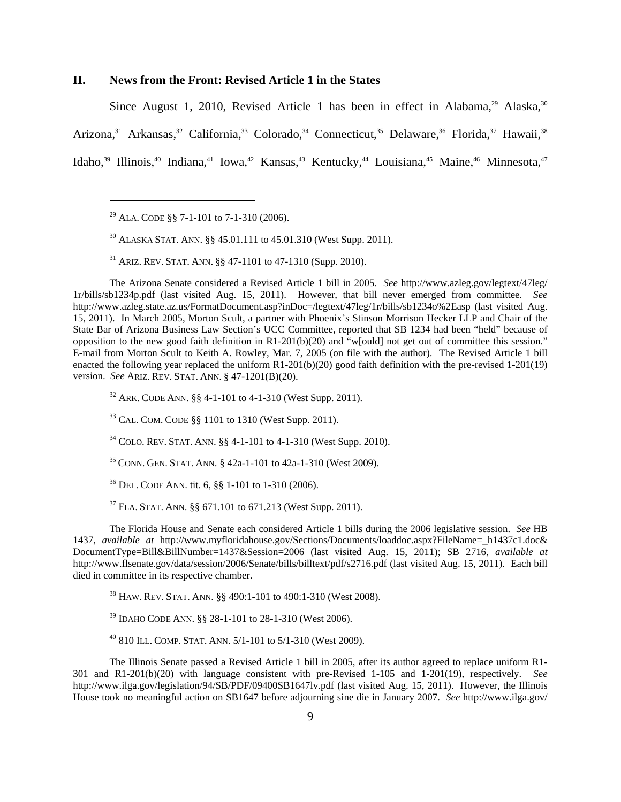# **II. News from the Front: Revised Article 1 in the States**

Since August 1, 2010, Revised Article 1 has been in effect in Alabama,<sup>29</sup> Alaska,<sup>30</sup> Arizona,<sup>31</sup> Arkansas,<sup>32</sup> California,<sup>33</sup> Colorado,<sup>34</sup> Connecticut,<sup>35</sup> Delaware,<sup>36</sup> Florida,<sup>37</sup> Hawaii,<sup>38</sup> Idaho,<sup>39</sup> Illinois,<sup>40</sup> Indiana,<sup>41</sup> Iowa,<sup>42</sup> Kansas,<sup>43</sup> Kentucky,<sup>44</sup> Louisiana,<sup>45</sup> Maine,<sup>46</sup> Minnesota,<sup>47</sup>

<sup>29</sup> ALA. CODE §§ 7-1-101 to 7-1-310 (2006).

1

30 ALASKA STAT. ANN. §§ 45.01.111 to 45.01.310 (West Supp. 2011).

 $31$  ARIZ. REV. STAT. ANN. §§ 47-1101 to 47-1310 (Supp. 2010).

The Arizona Senate considered a Revised Article 1 bill in 2005. *See* http://www.azleg.gov/legtext/47leg/ 1r/bills/sb1234p.pdf (last visited Aug. 15, 2011). However, that bill never emerged from committee. *See* http://www.azleg.state.az.us/FormatDocument.asp?inDoc=/legtext/47leg/1r/bills/sb1234o%2Easp (last visited Aug. 15, 2011). In March 2005, Morton Scult, a partner with Phoenix's Stinson Morrison Hecker LLP and Chair of the State Bar of Arizona Business Law Section's UCC Committee, reported that SB 1234 had been "held" because of opposition to the new good faith definition in R1-201(b)(20) and "w[ould] not get out of committee this session." E-mail from Morton Scult to Keith A. Rowley, Mar. 7, 2005 (on file with the author). The Revised Article 1 bill enacted the following year replaced the uniform  $R1-201(b)(20)$  good faith definition with the pre-revised 1-201(19) version. *See* ARIZ. REV. STAT. ANN. § 47-1201(B)(20).

32 ARK. CODE ANN. §§ 4-1-101 to 4-1-310 (West Supp. 2011).

33 CAL. COM. CODE §§ 1101 to 1310 (West Supp. 2011).

 $34$  COLO. REV. STAT. ANN. §§ 4-1-101 to 4-1-310 (West Supp. 2010).

 $35$  CONN. GEN. STAT. ANN. § 42a-1-101 to 42a-1-310 (West 2009).

36 DEL. CODE ANN. tit. 6, §§ 1-101 to 1-310 (2006).

37 FLA. STAT. ANN. §§ 671.101 to 671.213 (West Supp. 2011).

The Florida House and Senate each considered Article 1 bills during the 2006 legislative session. *See* HB 1437, *available at* http://www.myfloridahouse.gov/Sections/Documents/loaddoc.aspx?FileName= h1437c1.doc& DocumentType=Bill&BillNumber=1437&Session=2006 (last visited Aug. 15, 2011); SB 2716, *available at* http://www.flsenate.gov/data/session/2006/Senate/bills/billtext/pdf/s2716.pdf (last visited Aug. 15, 2011). Each bill died in committee in its respective chamber.

38 HAW. REV. STAT. ANN. §§ 490:1-101 to 490:1-310 (West 2008).

39 IDAHO CODE ANN. §§ 28-1-101 to 28-1-310 (West 2006).

40 810 ILL. COMP. STAT. ANN. 5/1-101 to 5/1-310 (West 2009).

The Illinois Senate passed a Revised Article 1 bill in 2005, after its author agreed to replace uniform R1- 301 and R1-201(b)(20) with language consistent with pre-Revised 1-105 and 1-201(19), respectively. *See* http://www.ilga.gov/legislation/94/SB/PDF/09400SB1647lv.pdf (last visited Aug. 15, 2011). However, the Illinois House took no meaningful action on SB1647 before adjourning sine die in January 2007. *See* http://www.ilga.gov/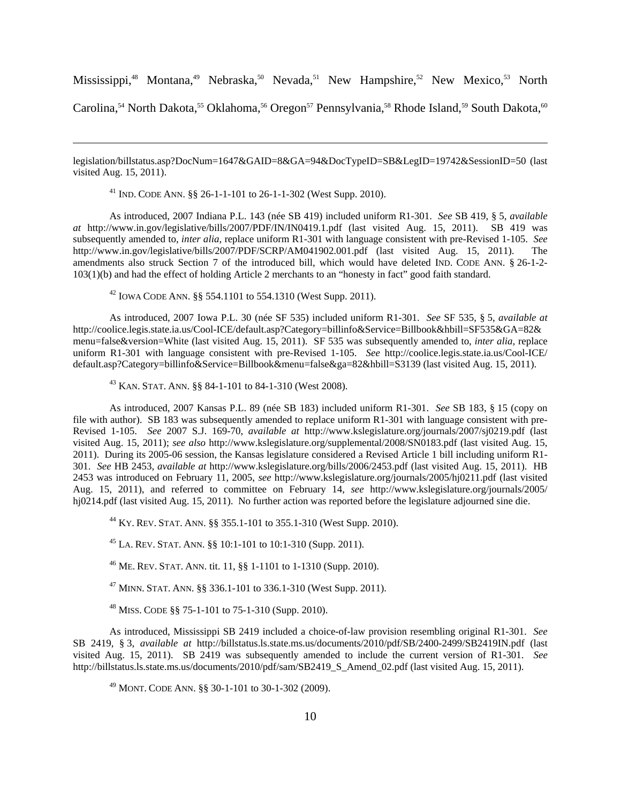Mississippi,<sup>48</sup> Montana,<sup>49</sup> Nebraska,<sup>50</sup> Nevada,<sup>51</sup> New Hampshire,<sup>52</sup> New Mexico,<sup>53</sup> North

Carolina,<sup>54</sup> North Dakota,<sup>55</sup> Oklahoma,<sup>56</sup> Oregon<sup>57</sup> Pennsylvania,<sup>58</sup> Rhode Island,<sup>59</sup> South Dakota,<sup>60</sup>

legislation/billstatus.asp?DocNum=1647&GAID=8&GA=94&DocTypeID=SB&LegID=19742&SessionID=50 (last visited Aug. 15, 2011).

41 IND. CODE ANN. §§ 26-1-1-101 to 26-1-1-302 (West Supp. 2010).

1

As introduced, 2007 Indiana P.L. 143 (née SB 419) included uniform R1-301. *See* SB 419, § 5, *available at* http://www.in.gov/legislative/bills/2007/PDF/IN/IN0419.1.pdf (last visited Aug. 15, 2011). SB 419 was subsequently amended to, *inter alia*, replace uniform R1-301 with language consistent with pre-Revised 1-105. *See* http://www.in.gov/legislative/bills/2007/PDF/SCRP/AM041902.001.pdf (last visited Aug. 15, 2011). The amendments also struck Section 7 of the introduced bill, which would have deleted IND. CODE ANN. § 26-1-2- 103(1)(b) and had the effect of holding Article 2 merchants to an "honesty in fact" good faith standard.

<sup>42</sup> IOWA CODE ANN.  $\S$ § 554.1101 to 554.1310 (West Supp. 2011).

As introduced, 2007 Iowa P.L. 30 (née SF 535) included uniform R1-301. *See* SF 535, § 5, *available at* http://coolice.legis.state.ia.us/Cool-ICE/default.asp?Category=billinfo&Service=Billbook&hbill=SF535&GA=82& menu=false&version=White (last visited Aug. 15, 2011). SF 535 was subsequently amended to, *inter alia*, replace uniform R1-301 with language consistent with pre-Revised 1-105. *See* http://coolice.legis.state.ia.us/Cool-ICE/ default.asp?Category=billinfo&Service=Billbook&menu=false&ga=82&hbill=S3139 (last visited Aug. 15, 2011).

 $^{43}$  KAN. STAT. ANN. §§ 84-1-101 to 84-1-310 (West 2008).

As introduced, 2007 Kansas P.L. 89 (née SB 183) included uniform R1-301. *See* SB 183, § 15 (copy on file with author). SB 183 was subsequently amended to replace uniform R1-301 with language consistent with pre-Revised 1-105. *See* 2007 S.J. 169-70, *available at* http://www.kslegislature.org/journals/2007/sj0219.pdf (last visited Aug. 15, 2011); *see also* http://www.kslegislature.org/supplemental/2008/SN0183.pdf (last visited Aug. 15, 2011). During its 2005-06 session, the Kansas legislature considered a Revised Article 1 bill including uniform R1- 301. *See* HB 2453, *available at* http://www.kslegislature.org/bills/2006/2453.pdf (last visited Aug. 15, 2011). HB 2453 was introduced on February 11, 2005, *see* http://www.kslegislature.org/journals/2005/hj0211.pdf (last visited Aug. 15, 2011), and referred to committee on February 14, *see* http://www.kslegislature.org/journals/2005/ hj0214.pdf (last visited Aug. 15, 2011). No further action was reported before the legislature adjourned sine die.

44 KY. REV. STAT. ANN. §§ 355.1-101 to 355.1-310 (West Supp. 2010).

<sup>45</sup> LA. REV. STAT. ANN. §§ 10:1-101 to 10:1-310 (Supp. 2011).

46 ME. REV. STAT. ANN. tit. 11, §§ 1-1101 to 1-1310 (Supp. 2010).

<sup>47</sup> MINN. STAT. ANN. §§ 336.1-101 to 336.1-310 (West Supp. 2011).

 $48$  MISS. CODE §§ 75-1-101 to 75-1-310 (Supp. 2010).

As introduced, Mississippi SB 2419 included a choice-of-law provision resembling original R1-301. *See* SB 2419, § 3, *available at* http://billstatus.ls.state.ms.us/documents/2010/pdf/SB/2400-2499/SB2419IN.pdf (last visited Aug. 15, 2011). SB 2419 was subsequently amended to include the current version of R1-301. *See* http://billstatus.ls.state.ms.us/documents/2010/pdf/sam/SB2419\_S\_Amend\_02.pdf (last visited Aug. 15, 2011).

49 MONT. CODE ANN. §§ 30-1-101 to 30-1-302 (2009).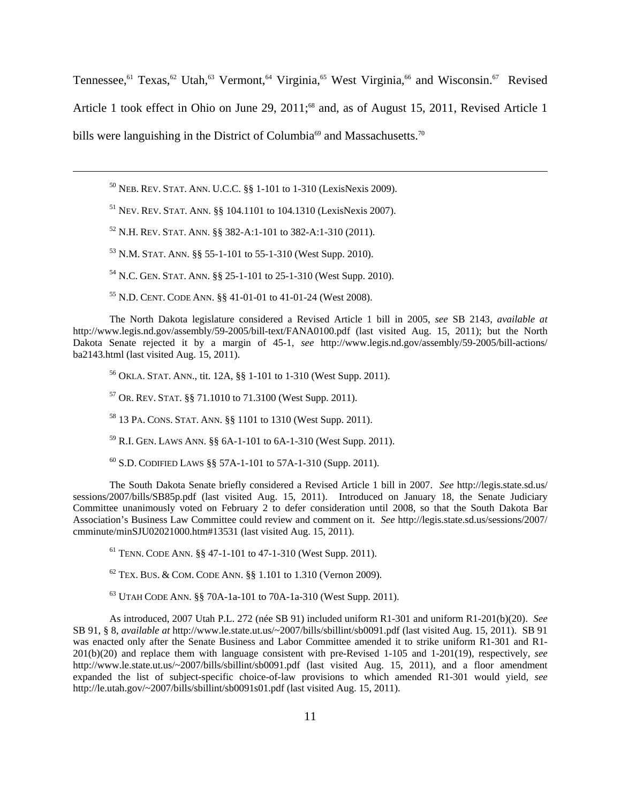Tennessee,<sup>61</sup> Texas,<sup>62</sup> Utah,<sup>63</sup> Vermont,<sup>64</sup> Virginia,<sup>65</sup> West Virginia,<sup>66</sup> and Wisconsin.<sup>67</sup> Revised Article 1 took effect in Ohio on June 29, 2011;<sup>68</sup> and, as of August 15, 2011, Revised Article 1 bills were languishing in the District of Columbia<sup>69</sup> and Massachusetts.<sup>70</sup>

50 NEB. REV. STAT. ANN. U.C.C. §§ 1-101 to 1-310 (LexisNexis 2009).

51 NEV. REV. STAT. ANN. §§ 104.1101 to 104.1310 (LexisNexis 2007).

52 N.H. REV. STAT. ANN. §§ 382-A:1-101 to 382-A:1-310 (2011).

 $\overline{a}$ 

53 N.M. STAT. ANN. §§ 55-1-101 to 55-1-310 (West Supp. 2010).

54 N.C. GEN. STAT. ANN. §§ 25-1-101 to 25-1-310 (West Supp. 2010).

55 N.D. CENT. CODE ANN. §§ 41-01-01 to 41-01-24 (West 2008).

The North Dakota legislature considered a Revised Article 1 bill in 2005, *see* SB 2143, *available at* http://www.legis.nd.gov/assembly/59-2005/bill-text/FANA0100.pdf (last visited Aug. 15, 2011); but the North Dakota Senate rejected it by a margin of 45-1, *see* http://www.legis.nd.gov/assembly/59-2005/bill-actions/ ba2143.html (last visited Aug. 15, 2011).

56 OKLA. STAT. ANN., tit. 12A, §§ 1-101 to 1-310 (West Supp. 2011).

57 OR. REV. STAT. §§ 71.1010 to 71.3100 (West Supp. 2011).

58 13 PA. CONS. STAT. ANN. §§ 1101 to 1310 (West Supp. 2011).

59 R.I. GEN. LAWS ANN. §§ 6A-1-101 to 6A-1-310 (West Supp. 2011).

60 S.D. CODIFIED LAWS §§ 57A-1-101 to 57A-1-310 (Supp. 2011).

The South Dakota Senate briefly considered a Revised Article 1 bill in 2007. *See* http://legis.state.sd.us/ sessions/2007/bills/SB85p.pdf (last visited Aug. 15, 2011). Introduced on January 18, the Senate Judiciary Committee unanimously voted on February 2 to defer consideration until 2008, so that the South Dakota Bar Association's Business Law Committee could review and comment on it. *See* http://legis.state.sd.us/sessions/2007/ cmminute/minSJU02021000.htm#13531 (last visited Aug. 15, 2011).

61 TENN. CODE ANN. §§ 47-1-101 to 47-1-310 (West Supp. 2011).

 $62$  TEX. BUS. & COM. CODE ANN. §§ 1.101 to 1.310 (Vernon 2009).

63 UTAH CODE ANN. §§ 70A-1a-101 to 70A-1a-310 (West Supp. 2011).

As introduced, 2007 Utah P.L. 272 (née SB 91) included uniform R1-301 and uniform R1-201(b)(20). *See* SB 91, § 8, *available at* http://www.le.state.ut.us/~2007/bills/sbillint/sb0091.pdf (last visited Aug. 15, 2011). SB 91 was enacted only after the Senate Business and Labor Committee amended it to strike uniform R1-301 and R1- 201(b)(20) and replace them with language consistent with pre-Revised 1-105 and 1-201(19), respectively, *see* http://www.le.state.ut.us/~2007/bills/sbillint/sb0091.pdf (last visited Aug. 15, 2011), and a floor amendment expanded the list of subject-specific choice-of-law provisions to which amended R1-301 would yield, *see* http://le.utah.gov/~2007/bills/sbillint/sb0091s01.pdf (last visited Aug. 15, 2011).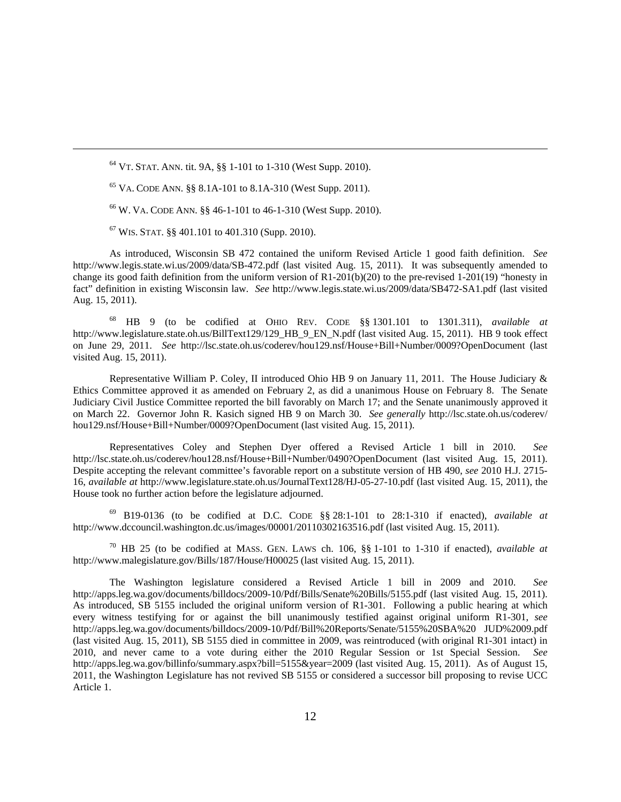64 VT. STAT. ANN. tit. 9A, §§ 1-101 to 1-310 (West Supp. 2010).

 $^{65}$  VA. CODE ANN.  $\S$ § 8.1A-101 to 8.1A-310 (West Supp. 2011).

66 W. VA. CODE ANN. §§ 46-1-101 to 46-1-310 (West Supp. 2010).

 $67$  WIS. STAT. §§ 401.101 to 401.310 (Supp. 2010).

 $\overline{a}$ 

As introduced, Wisconsin SB 472 contained the uniform Revised Article 1 good faith definition. *See* http://www.legis.state.wi.us/2009/data/SB-472.pdf (last visited Aug. 15, 2011). It was subsequently amended to change its good faith definition from the uniform version of  $R1-201(b)(20)$  to the pre-revised  $1-201(19)$  "honesty in fact" definition in existing Wisconsin law. *See* http://www.legis.state.wi.us/2009/data/SB472-SA1.pdf (last visited Aug. 15, 2011).

68 HB 9 (to be codified at OHIO REV. CODE §§ 1301.101 to 1301.311), *available at* http://www.legislature.state.oh.us/BillText129/129\_HB\_9\_EN\_N.pdf (last visited Aug. 15, 2011). HB 9 took effect on June 29, 2011. *See* http://lsc.state.oh.us/coderev/hou129.nsf/House+Bill+Number/0009?OpenDocument (last visited Aug. 15, 2011).

Representative William P. Coley, II introduced Ohio HB 9 on January 11, 2011. The House Judiciary & Ethics Committee approved it as amended on February 2, as did a unanimous House on February 8. The Senate Judiciary Civil Justice Committee reported the bill favorably on March 17; and the Senate unanimously approved it on March 22. Governor John R. Kasich signed HB 9 on March 30. *See generally* http://lsc.state.oh.us/coderev/ hou129.nsf/House+Bill+Number/0009?OpenDocument (last visited Aug. 15, 2011).

Representatives Coley and Stephen Dyer offered a Revised Article 1 bill in 2010. *See* http://lsc.state.oh.us/coderev/hou128.nsf/House+Bill+Number/0490?OpenDocument (last visited Aug. 15, 2011). Despite accepting the relevant committee's favorable report on a substitute version of HB 490, *see* 2010 H.J. 2715- 16, *available at* http://www.legislature.state.oh.us/JournalText128/HJ-05-27-10.pdf (last visited Aug. 15, 2011), the House took no further action before the legislature adjourned.

69 B19-0136 (to be codified at D.C. CODE §§ 28:1-101 to 28:1-310 if enacted), *available at* http://www.dccouncil.washington.dc.us/images/00001/20110302163516.pdf (last visited Aug. 15, 2011).

70 HB 25 (to be codified at MASS. GEN. LAWS ch. 106, §§ 1-101 to 1-310 if enacted), *available at* http://www.malegislature.gov/Bills/187/House/H00025 (last visited Aug. 15, 2011).

The Washington legislature considered a Revised Article 1 bill in 2009 and 2010. *See* http://apps.leg.wa.gov/documents/billdocs/2009-10/Pdf/Bills/Senate%20Bills/5155.pdf (last visited Aug. 15, 2011). As introduced, SB 5155 included the original uniform version of R1-301. Following a public hearing at which every witness testifying for or against the bill unanimously testified against original uniform R1-301, *see* http://apps.leg.wa.gov/documents/billdocs/2009-10/Pdf/Bill%20Reports/Senate/5155%20SBA%20 JUD%2009.pdf (last visited Aug. 15, 2011), SB 5155 died in committee in 2009, was reintroduced (with original R1-301 intact) in 2010, and never came to a vote during either the 2010 Regular Session or 1st Special Session. *See* http://apps.leg.wa.gov/billinfo/summary.aspx?bill=5155&year=2009 (last visited Aug. 15, 2011). As of August 15, 2011, the Washington Legislature has not revived SB 5155 or considered a successor bill proposing to revise UCC Article 1.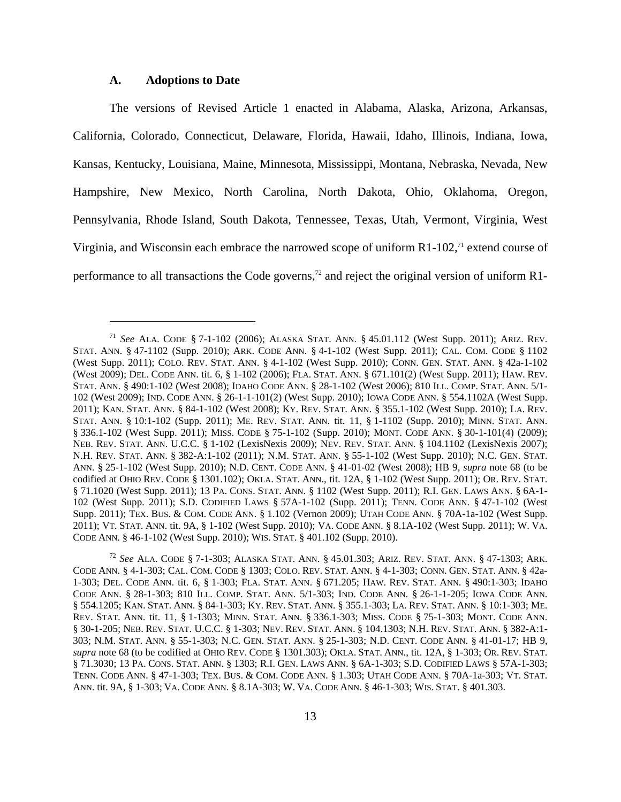# **A. Adoptions to Date**

 $\overline{a}$ 

The versions of Revised Article 1 enacted in Alabama, Alaska, Arizona, Arkansas, California, Colorado, Connecticut, Delaware, Florida, Hawaii, Idaho, Illinois, Indiana, Iowa, Kansas, Kentucky, Louisiana, Maine, Minnesota, Mississippi, Montana, Nebraska, Nevada, New Hampshire, New Mexico, North Carolina, North Dakota, Ohio, Oklahoma, Oregon, Pennsylvania, Rhode Island, South Dakota, Tennessee, Texas, Utah, Vermont, Virginia, West Virginia, and Wisconsin each embrace the narrowed scope of uniform  $R1-102$ ,<sup> $71$ </sup> extend course of performance to all transactions the Code governs,<sup> $72$ </sup> and reject the original version of uniform R1-

<sup>71</sup> *See* ALA. CODE § 7-1-102 (2006); ALASKA STAT. ANN. § 45.01.112 (West Supp. 2011); ARIZ. REV. STAT. ANN. § 47-1102 (Supp. 2010); ARK. CODE ANN. § 4-1-102 (West Supp. 2011); CAL. COM. CODE § 1102 (West Supp. 2011); COLO. REV. STAT. ANN. § 4-1-102 (West Supp. 2010); CONN. GEN. STAT. ANN. § 42a-1-102 (West 2009); DEL. CODE ANN. tit. 6, § 1-102 (2006); FLA. STAT. ANN. § 671.101(2) (West Supp. 2011); HAW. REV. STAT. ANN. § 490:1-102 (West 2008); IDAHO CODE ANN. § 28-1-102 (West 2006); 810 ILL. COMP. STAT. ANN. 5/1- 102 (West 2009); IND. CODE ANN. § 26-1-1-101(2) (West Supp. 2010); IOWA CODE ANN. § 554.1102A (West Supp. 2011); KAN. STAT. ANN. § 84-1-102 (West 2008); KY. REV. STAT. ANN. § 355.1-102 (West Supp. 2010); LA. REV. STAT. ANN. § 10:1-102 (Supp. 2011); ME. REV. STAT. ANN. tit. 11, § 1-1102 (Supp. 2010); MINN. STAT. ANN. § 336.1-102 (West Supp. 2011); MISS. CODE § 75-1-102 (Supp. 2010); MONT. CODE ANN. § 30-1-101(4) (2009); NEB. REV. STAT. ANN. U.C.C. § 1-102 (LexisNexis 2009); NEV. REV. STAT. ANN. § 104.1102 (LexisNexis 2007); N.H. REV. STAT. ANN. § 382-A:1-102 (2011); N.M. STAT. ANN. § 55-1-102 (West Supp. 2010); N.C. GEN. STAT. ANN. § 25-1-102 (West Supp. 2010); N.D. CENT. CODE ANN. § 41-01-02 (West 2008); HB 9, *supra* note 68 (to be codified at OHIO REV. CODE § 1301.102); OKLA. STAT. ANN., tit. 12A, § 1-102 (West Supp. 2011); OR. REV. STAT. § 71.1020 (West Supp. 2011); 13 PA. CONS. STAT. ANN. § 1102 (West Supp. 2011); R.I. GEN. LAWS ANN. § 6A-1- 102 (West Supp. 2011); S.D. CODIFIED LAWS § 57A-1-102 (Supp. 2011); TENN. CODE ANN. § 47-1-102 (West Supp. 2011); TEX. BUS. & COM. CODE ANN. § 1.102 (Vernon 2009); UTAH CODE ANN. § 70A-1a-102 (West Supp. 2011); VT. STAT. ANN. tit. 9A, § 1-102 (West Supp. 2010); VA. CODE ANN. § 8.1A-102 (West Supp. 2011); W. VA. CODE ANN. § 46-1-102 (West Supp. 2010); WIS. STAT. § 401.102 (Supp. 2010).

<sup>72</sup> *See* ALA. CODE § 7-1-303; ALASKA STAT. ANN. § 45.01.303; ARIZ. REV. STAT. ANN. § 47-1303; ARK. CODE ANN. § 4-1-303; CAL. COM. CODE § 1303; COLO. REV. STAT. ANN. § 4-1-303; CONN. GEN. STAT. ANN. § 42a-1-303; DEL. CODE ANN. tit. 6, § 1-303; FLA. STAT. ANN. § 671.205; HAW. REV. STAT. ANN. § 490:1-303; IDAHO CODE ANN. § 28-1-303; 810 ILL. COMP. STAT. ANN. 5/1-303; IND. CODE ANN. § 26-1-1-205; IOWA CODE ANN. § 554.1205; KAN. STAT. ANN. § 84-1-303; KY. REV. STAT. ANN. § 355.1-303; LA. REV. STAT. ANN. § 10:1-303; ME. REV. STAT. ANN. tit. 11, § 1-1303; MINN. STAT. ANN. § 336.1-303; MISS. CODE § 75-1-303; MONT. CODE ANN. § 30-1-205; NEB. REV. STAT. U.C.C. § 1-303; NEV. REV. STAT. ANN. § 104.1303; N.H. REV. STAT. ANN. § 382-A:1- 303; N.M. STAT. ANN. § 55-1-303; N.C. GEN. STAT. ANN. § 25-1-303; N.D. CENT. CODE ANN. § 41-01-17; HB 9, *supra* note 68 (to be codified at OHIO REV. CODE § 1301.303); OKLA. STAT. ANN., tit. 12A, § 1-303; OR. REV. STAT. § 71.3030; 13 PA. CONS. STAT. ANN. § 1303; R.I. GEN. LAWS ANN. § 6A-1-303; S.D. CODIFIED LAWS § 57A-1-303; TENN. CODE ANN. § 47-1-303; TEX. BUS. & COM. CODE ANN. § 1.303; UTAH CODE ANN. § 70A-1a-303; VT. STAT. ANN. tit. 9A, § 1-303; VA. CODE ANN. § 8.1A-303; W. VA. CODE ANN. § 46-1-303; WIS. STAT. § 401.303.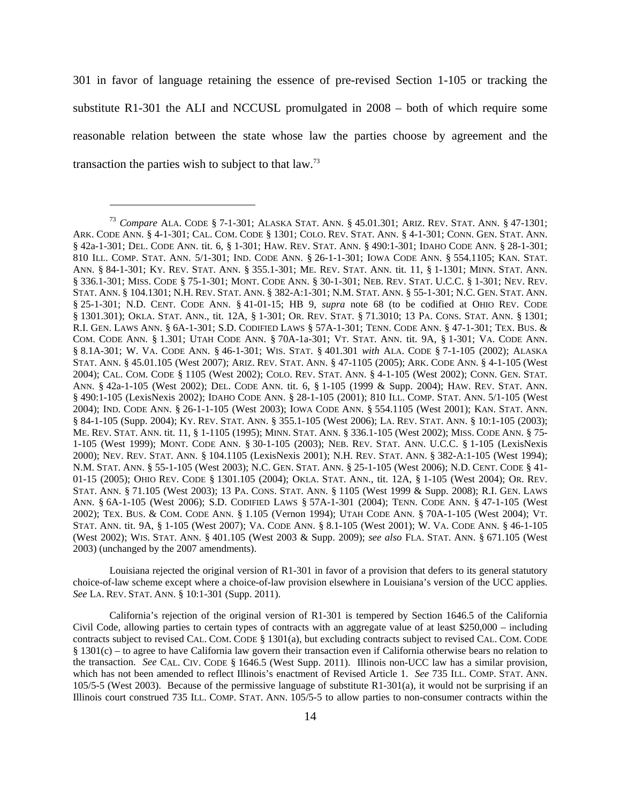301 in favor of language retaining the essence of pre-revised Section 1-105 or tracking the substitute R1-301 the ALI and NCCUSL promulgated in 2008 – both of which require some reasonable relation between the state whose law the parties choose by agreement and the transaction the parties wish to subject to that law.73

<u>.</u>

Louisiana rejected the original version of R1-301 in favor of a provision that defers to its general statutory choice-of-law scheme except where a choice-of-law provision elsewhere in Louisiana's version of the UCC applies. *See* LA. REV. STAT. ANN. § 10:1-301 (Supp. 2011).

California's rejection of the original version of R1-301 is tempered by Section 1646.5 of the California Civil Code, allowing parties to certain types of contracts with an aggregate value of at least \$250,000 – including contracts subject to revised CAL. COM. CODE § 1301(a), but excluding contracts subject to revised CAL. COM. CODE § 1301(c) – to agree to have California law govern their transaction even if California otherwise bears no relation to the transaction. *See* CAL. CIV. CODE § 1646.5 (West Supp. 2011). Illinois non-UCC law has a similar provision, which has not been amended to reflect Illinois's enactment of Revised Article 1. *See* 735 ILL. COMP. STAT. ANN. 105/5-5 (West 2003). Because of the permissive language of substitute R1-301(a), it would not be surprising if an Illinois court construed 735 ILL. COMP. STAT. ANN. 105/5-5 to allow parties to non-consumer contracts within the

<sup>73</sup> *Compare* ALA. CODE § 7-1-301; ALASKA STAT. ANN. § 45.01.301; ARIZ. REV. STAT. ANN. § 47-1301; ARK. CODE ANN. § 4-1-301; CAL. COM. CODE § 1301; COLO. REV. STAT. ANN. § 4-1-301; CONN. GEN. STAT. ANN. § 42a-1-301; DEL. CODE ANN. tit. 6, § 1-301; HAW. REV. STAT. ANN. § 490:1-301; IDAHO CODE ANN. § 28-1-301; 810 ILL. COMP. STAT. ANN. 5/1-301; IND. CODE ANN. § 26-1-1-301; IOWA CODE ANN. § 554.1105; KAN. STAT. ANN. § 84-1-301; KY. REV. STAT. ANN. § 355.1-301; ME. REV. STAT. ANN. tit. 11, § 1-1301; MINN. STAT. ANN. § 336.1-301; MISS. CODE § 75-1-301; MONT. CODE ANN. § 30-1-301; NEB. REV. STAT. U.C.C. § 1-301; NEV. REV. STAT. ANN. § 104.1301; N.H. REV. STAT. ANN. § 382-A:1-301; N.M. STAT. ANN. § 55-1-301; N.C. GEN. STAT. ANN. § 25-1-301; N.D. CENT. CODE ANN. § 41-01-15; HB 9, *supra* note 68 (to be codified at OHIO REV. CODE § 1301.301); OKLA. STAT. ANN., tit. 12A, § 1-301; OR. REV. STAT. § 71.3010; 13 PA. CONS. STAT. ANN. § 1301; R.I. GEN. LAWS ANN. § 6A-1-301; S.D. CODIFIED LAWS § 57A-1-301; TENN. CODE ANN. § 47-1-301; TEX. BUS. & COM. CODE ANN. § 1.301; UTAH CODE ANN. § 70A-1a-301; VT. STAT. ANN. tit. 9A, § 1-301; VA. CODE ANN. § 8.1A-301; W. VA. CODE ANN. § 46-1-301; WIS. STAT. § 401.301 *with* ALA. CODE § 7-1-105 (2002); ALASKA STAT. ANN. § 45.01.105 (West 2007); ARIZ. REV. STAT. ANN. § 47-1105 (2005); ARK. CODE ANN. § 4-1-105 (West 2004); CAL. COM. CODE § 1105 (West 2002); COLO. REV. STAT. ANN. § 4-1-105 (West 2002); CONN. GEN. STAT. ANN. § 42a-1-105 (West 2002); DEL. CODE ANN. tit. 6, § 1-105 (1999 & Supp. 2004); HAW. REV. STAT. ANN. § 490:1-105 (LexisNexis 2002); IDAHO CODE ANN. § 28-1-105 (2001); 810 ILL. COMP. STAT. ANN. 5/1-105 (West 2004); IND. CODE ANN. § 26-1-1-105 (West 2003); IOWA CODE ANN. § 554.1105 (West 2001); KAN. STAT. ANN. § 84-1-105 (Supp. 2004); KY. REV. STAT. ANN. § 355.1-105 (West 2006); LA. REV. STAT. ANN. § 10:1-105 (2003); ME. REV. STAT. ANN. tit. 11, § 1-1105 (1995); MINN. STAT. ANN. § 336.1-105 (West 2002); MISS. CODE ANN. § 75- 1-105 (West 1999); MONT. CODE ANN. § 30-1-105 (2003); NEB. REV. STAT. ANN. U.C.C. § 1-105 (LexisNexis 2000); NEV. REV. STAT. ANN. § 104.1105 (LexisNexis 2001); N.H. REV. STAT. ANN. § 382-A:1-105 (West 1994); N.M. STAT. ANN. § 55-1-105 (West 2003); N.C. GEN. STAT. ANN. § 25-1-105 (West 2006); N.D. CENT. CODE § 41- 01-15 (2005); OHIO REV. CODE § 1301.105 (2004); OKLA. STAT. ANN., tit. 12A, § 1-105 (West 2004); OR. REV. STAT. ANN. § 71.105 (West 2003); 13 PA. CONS. STAT. ANN. § 1105 (West 1999 & Supp. 2008); R.I. GEN. LAWS ANN. § 6A-1-105 (West 2006); S.D. CODIFIED LAWS § 57A-1-301 (2004); TENN. CODE ANN. § 47-1-105 (West 2002); TEX. BUS. & COM. CODE ANN. § 1.105 (Vernon 1994); UTAH CODE ANN. § 70A-1-105 (West 2004); VT. STAT. ANN. tit. 9A, § 1-105 (West 2007); VA. CODE ANN. § 8.1-105 (West 2001); W. VA. CODE ANN. § 46-1-105 (West 2002); WIS. STAT. ANN. § 401.105 (West 2003 & Supp. 2009); *see also* FLA. STAT. ANN. § 671.105 (West 2003) (unchanged by the 2007 amendments).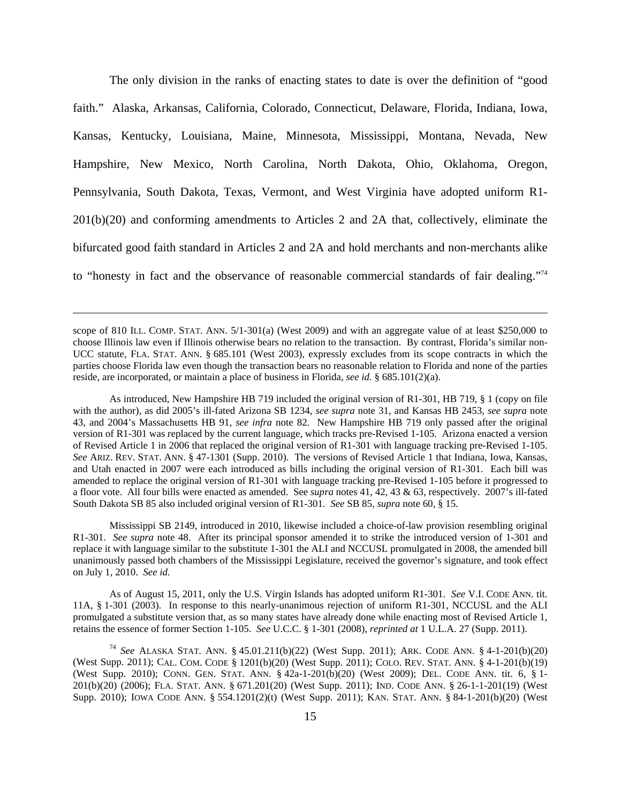The only division in the ranks of enacting states to date is over the definition of "good faith." Alaska, Arkansas, California, Colorado, Connecticut, Delaware, Florida, Indiana, Iowa, Kansas, Kentucky, Louisiana, Maine, Minnesota, Mississippi, Montana, Nevada, New Hampshire, New Mexico, North Carolina, North Dakota, Ohio, Oklahoma, Oregon, Pennsylvania, South Dakota, Texas, Vermont, and West Virginia have adopted uniform R1- 201(b)(20) and conforming amendments to Articles 2 and 2A that, collectively, eliminate the bifurcated good faith standard in Articles 2 and 2A and hold merchants and non-merchants alike to "honesty in fact and the observance of reasonable commercial standards of fair dealing."74

scope of 810 ILL. COMP. STAT. ANN. 5/1-301(a) (West 2009) and with an aggregate value of at least \$250,000 to choose Illinois law even if Illinois otherwise bears no relation to the transaction. By contrast, Florida's similar non-UCC statute, FLA. STAT. ANN. § 685.101 (West 2003), expressly excludes from its scope contracts in which the parties choose Florida law even though the transaction bears no reasonable relation to Florida and none of the parties reside, are incorporated, or maintain a place of business in Florida, *see id.* § 685.101(2)(a).

<u>.</u>

As introduced, New Hampshire HB 719 included the original version of R1-301, HB 719, § 1 (copy on file with the author), as did 2005's ill-fated Arizona SB 1234, *see supra* note 31, and Kansas HB 2453, *see supra* note 43, and 2004's Massachusetts HB 91, *see infra* note 82. New Hampshire HB 719 only passed after the original version of R1-301 was replaced by the current language, which tracks pre-Revised 1-105. Arizona enacted a version of Revised Article 1 in 2006 that replaced the original version of R1-301 with language tracking pre-Revised 1-105. *See* ARIZ. REV. STAT. ANN. § 47-1301 (Supp. 2010). The versions of Revised Article 1 that Indiana, Iowa, Kansas, and Utah enacted in 2007 were each introduced as bills including the original version of R1-301. Each bill was amended to replace the original version of R1-301 with language tracking pre-Revised 1-105 before it progressed to a floor vote. All four bills were enacted as amended. See *supra* notes 41, 42, 43 & 63, respectively. 2007's ill-fated South Dakota SB 85 also included original version of R1-301. *See* SB 85, *supra* note 60, § 15.

Mississippi SB 2149, introduced in 2010, likewise included a choice-of-law provision resembling original R1-301. *See supra* note 48. After its principal sponsor amended it to strike the introduced version of 1-301 and replace it with language similar to the substitute 1-301 the ALI and NCCUSL promulgated in 2008, the amended bill unanimously passed both chambers of the Mississippi Legislature, received the governor's signature, and took effect on July 1, 2010. *See id.*

As of August 15, 2011, only the U.S. Virgin Islands has adopted uniform R1-301. *See* V.I. CODE ANN. tit. 11A, § 1-301 (2003). In response to this nearly-unanimous rejection of uniform R1-301, NCCUSL and the ALI promulgated a substitute version that, as so many states have already done while enacting most of Revised Article 1, retains the essence of former Section 1-105. *See* U.C.C. § 1-301 (2008), *reprinted at* 1 U.L.A. 27 (Supp. 2011).

<sup>74</sup> *See* ALASKA STAT. ANN. § 45.01.211(b)(22) (West Supp. 2011); ARK. CODE ANN. § 4-1-201(b)(20) (West Supp. 2011); CAL. COM. CODE § 1201(b)(20) (West Supp. 2011); COLO. REV. STAT. ANN. § 4-1-201(b)(19) (West Supp. 2010); CONN. GEN. STAT. ANN. § 42a-1-201(b)(20) (West 2009); DEL. CODE ANN. tit. 6, § 1- 201(b)(20) (2006); FLA. STAT. ANN. § 671.201(20) (West Supp. 2011); IND. CODE ANN. § 26-1-1-201(19) (West Supp. 2010); IOWA CODE ANN. § 554.1201(2)(t) (West Supp. 2011); KAN. STAT. ANN. § 84-1-201(b)(20) (West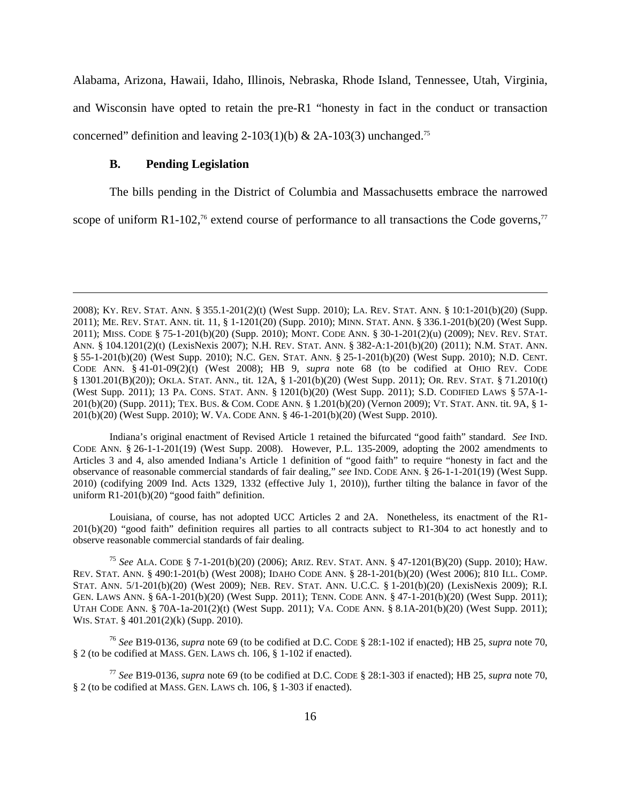Alabama, Arizona, Hawaii, Idaho, Illinois, Nebraska, Rhode Island, Tennessee, Utah, Virginia, and Wisconsin have opted to retain the pre-R1 "honesty in fact in the conduct or transaction concerned" definition and leaving 2-103(1)(b) & 2A-103(3) unchanged.<sup>75</sup>

#### **B. Pending Legislation**

1

The bills pending in the District of Columbia and Massachusetts embrace the narrowed

scope of uniform R1-102,<sup>76</sup> extend course of performance to all transactions the Code governs,<sup>77</sup>

Indiana's original enactment of Revised Article 1 retained the bifurcated "good faith" standard. *See* IND. CODE ANN. § 26-1-1-201(19) (West Supp. 2008). However, P.L. 135-2009, adopting the 2002 amendments to Articles 3 and 4, also amended Indiana's Article 1 definition of "good faith" to require "honesty in fact and the observance of reasonable commercial standards of fair dealing," *see* IND. CODE ANN. § 26-1-1-201(19) (West Supp. 2010) (codifying 2009 Ind. Acts 1329, 1332 (effective July 1, 2010)), further tilting the balance in favor of the uniform R1-201(b)(20) "good faith" definition.

Louisiana, of course, has not adopted UCC Articles 2 and 2A. Nonetheless, its enactment of the R1- 201(b)(20) "good faith" definition requires all parties to all contracts subject to R1-304 to act honestly and to observe reasonable commercial standards of fair dealing.

<sup>75</sup> *See* ALA. CODE § 7-1-201(b)(20) (2006); ARIZ. REV. STAT. ANN. § 47-1201(B)(20) (Supp. 2010); HAW. REV. STAT. ANN. § 490:1-201(b) (West 2008); IDAHO CODE ANN. § 28-1-201(b)(20) (West 2006); 810 ILL. COMP. STAT. ANN. 5/1-201(b)(20) (West 2009); NEB. REV. STAT. ANN. U.C.C. § 1-201(b)(20) (LexisNexis 2009); R.I. GEN. LAWS ANN. § 6A-1-201(b)(20) (West Supp. 2011); TENN. CODE ANN. § 47-1-201(b)(20) (West Supp. 2011); UTAH CODE ANN. § 70A-1a-201(2)(t) (West Supp. 2011); VA. CODE ANN. § 8.1A-201(b)(20) (West Supp. 2011); WIS. STAT. § 401.201(2)(k) (Supp. 2010).

<sup>76</sup> *See* B19-0136, *supra* note 69 (to be codified at D.C. CODE § 28:1-102 if enacted); HB 25, *supra* note 70, § 2 (to be codified at MASS. GEN. LAWS ch. 106, § 1-102 if enacted).

<sup>77</sup> *See* B19-0136, *supra* note 69 (to be codified at D.C. CODE § 28:1-303 if enacted); HB 25, *supra* note 70, § 2 (to be codified at MASS. GEN. LAWS ch. 106, § 1-303 if enacted).

<sup>2008);</sup> KY. REV. STAT. ANN. § 355.1-201(2)(t) (West Supp. 2010); LA. REV. STAT. ANN. § 10:1-201(b)(20) (Supp. 2011); ME. REV. STAT. ANN. tit. 11, § 1-1201(20) (Supp. 2010); MINN. STAT. ANN. § 336.1-201(b)(20) (West Supp. 2011); MISS. CODE § 75-1-201(b)(20) (Supp. 2010); MONT. CODE ANN. § 30-1-201(2)(u) (2009); NEV. REV. STAT. ANN. § 104.1201(2)(t) (LexisNexis 2007); N.H. REV. STAT. ANN. § 382-A:1-201(b)(20) (2011); N.M. STAT. ANN. § 55-1-201(b)(20) (West Supp. 2010); N.C. GEN. STAT. ANN. § 25-1-201(b)(20) (West Supp. 2010); N.D. CENT. CODE ANN. § 41-01-09(2)(t) (West 2008); HB 9, *supra* note 68 (to be codified at OHIO REV. CODE § 1301.201(B)(20)); OKLA. STAT. ANN., tit. 12A, § 1-201(b)(20) (West Supp. 2011); OR. REV. STAT. § 71.2010(t) (West Supp. 2011); 13 PA. CONS. STAT. ANN. § 1201(b)(20) (West Supp. 2011); S.D. CODIFIED LAWS § 57A-1- 201(b)(20) (Supp. 2011); TEX. BUS. & COM. CODE ANN. § 1.201(b)(20) (Vernon 2009); VT. STAT. ANN. tit. 9A, § 1- 201(b)(20) (West Supp. 2010); W. VA. CODE ANN. § 46-1-201(b)(20) (West Supp. 2010).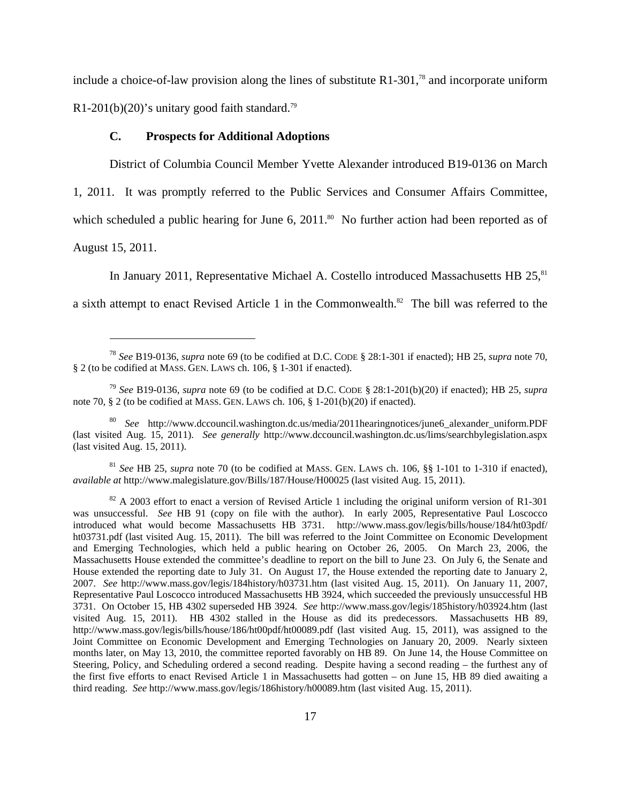include a choice-of-law provision along the lines of substitute  $R1-301$ ,<sup>78</sup> and incorporate uniform R1-201(b)(20)'s unitary good faith standard.<sup>79</sup>

# **C. Prospects for Additional Adoptions**

District of Columbia Council Member Yvette Alexander introduced B19-0136 on March

1, 2011. It was promptly referred to the Public Services and Consumer Affairs Committee,

which scheduled a public hearing for June 6,  $2011$ .<sup>80</sup> No further action had been reported as of

August 15, 2011.

 $\overline{a}$ 

In January 2011, Representative Michael A. Costello introduced Massachusetts HB  $25$ ,  $81$ 

a sixth attempt to enact Revised Article 1 in the Commonwealth.<sup>82</sup> The bill was referred to the

<sup>81</sup> *See* HB 25, *supra* note 70 (to be codified at MASS. GEN. LAWS ch. 106, §§ 1-101 to 1-310 if enacted), *available at* http://www.malegislature.gov/Bills/187/House/H00025 (last visited Aug. 15, 2011).

<sup>78</sup> *See* B19-0136, *supra* note 69 (to be codified at D.C. CODE § 28:1-301 if enacted); HB 25, *supra* note 70, § 2 (to be codified at MASS. GEN. LAWS ch. 106, § 1-301 if enacted).

<sup>79</sup> *See* B19-0136, *supra* note 69 (to be codified at D.C. CODE § 28:1-201(b)(20) if enacted); HB 25, *supra* note 70, § 2 (to be codified at MASS. GEN. LAWS ch. 106, § 1-201(b)(20) if enacted).

<sup>80</sup> *See* http://www.dccouncil.washington.dc.us/media/2011hearingnotices/june6\_alexander\_uniform.PDF (last visited Aug. 15, 2011). *See generally* http://www.dccouncil.washington.dc.us/lims/searchbylegislation.aspx (last visited Aug. 15, 2011).

<sup>&</sup>lt;sup>82</sup> A 2003 effort to enact a version of Revised Article 1 including the original uniform version of R1-301 was unsuccessful. *See* HB 91 (copy on file with the author). In early 2005, Representative Paul Loscocco introduced what would become Massachusetts HB 3731. http://www.mass.gov/legis/bills/house/184/ht03pdf/ ht03731.pdf (last visited Aug. 15, 2011). The bill was referred to the Joint Committee on Economic Development and Emerging Technologies, which held a public hearing on October 26, 2005. On March 23, 2006, the Massachusetts House extended the committee's deadline to report on the bill to June 23. On July 6, the Senate and House extended the reporting date to July 31. On August 17, the House extended the reporting date to January 2, 2007. *See* http://www.mass.gov/legis/184history/h03731.htm (last visited Aug. 15, 2011). On January 11, 2007, Representative Paul Loscocco introduced Massachusetts HB 3924, which succeeded the previously unsuccessful HB 3731. On October 15, HB 4302 superseded HB 3924. *See* http://www.mass.gov/legis/185history/h03924.htm (last visited Aug. 15, 2011). HB 4302 stalled in the House as did its predecessors. Massachusetts HB 89, http://www.mass.gov/legis/bills/house/186/ht00pdf/ht00089.pdf (last visited Aug. 15, 2011), was assigned to the Joint Committee on Economic Development and Emerging Technologies on January 20, 2009. Nearly sixteen months later, on May 13, 2010, the committee reported favorably on HB 89. On June 14, the House Committee on Steering, Policy, and Scheduling ordered a second reading. Despite having a second reading – the furthest any of the first five efforts to enact Revised Article 1 in Massachusetts had gotten – on June 15, HB 89 died awaiting a third reading. *See* http://www.mass.gov/legis/186history/h00089.htm (last visited Aug. 15, 2011).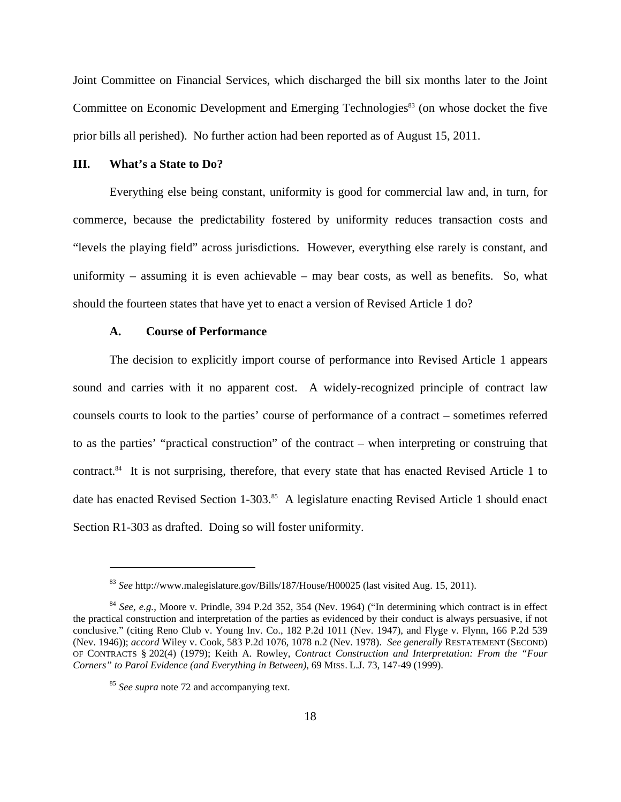Joint Committee on Financial Services, which discharged the bill six months later to the Joint Committee on Economic Development and Emerging Technologies<sup>83</sup> (on whose docket the five prior bills all perished). No further action had been reported as of August 15, 2011.

#### **III. What's a State to Do?**

Everything else being constant, uniformity is good for commercial law and, in turn, for commerce, because the predictability fostered by uniformity reduces transaction costs and "levels the playing field" across jurisdictions. However, everything else rarely is constant, and uniformity – assuming it is even achievable – may bear costs, as well as benefits. So, what should the fourteen states that have yet to enact a version of Revised Article 1 do?

# **A. Course of Performance**

The decision to explicitly import course of performance into Revised Article 1 appears sound and carries with it no apparent cost. A widely-recognized principle of contract law counsels courts to look to the parties' course of performance of a contract – sometimes referred to as the parties' "practical construction" of the contract – when interpreting or construing that contract.<sup>84</sup> It is not surprising, therefore, that every state that has enacted Revised Article 1 to date has enacted Revised Section 1-303.<sup>85</sup> A legislature enacting Revised Article 1 should enact Section R1-303 as drafted. Doing so will foster uniformity.

1

<sup>83</sup> *See* http://www.malegislature.gov/Bills/187/House/H00025 (last visited Aug. 15, 2011).

<sup>84</sup> *See, e.g.*, Moore v. Prindle, 394 P.2d 352, 354 (Nev. 1964) ("In determining which contract is in effect the practical construction and interpretation of the parties as evidenced by their conduct is always persuasive, if not conclusive." (citing Reno Club v. Young Inv. Co., 182 P.2d 1011 (Nev. 1947), and Flyge v. Flynn, 166 P.2d 539 (Nev. 1946)); *accord* Wiley v. Cook, 583 P.2d 1076, 1078 n.2 (Nev. 1978). *See generally* RESTATEMENT (SECOND) OF CONTRACTS § 202(4) (1979); Keith A. Rowley, *Contract Construction and Interpretation: From the "Four Corners" to Parol Evidence (and Everything in Between)*, 69 MISS. L.J. 73, 147-49 (1999).

<sup>85</sup> *See supra* note 72 and accompanying text.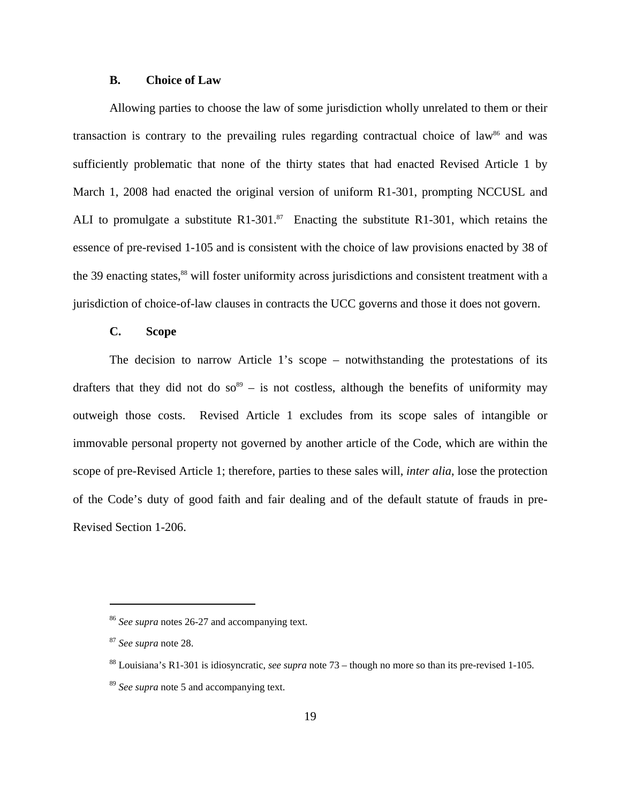# **B. Choice of Law**

Allowing parties to choose the law of some jurisdiction wholly unrelated to them or their transaction is contrary to the prevailing rules regarding contractual choice of law<sup>86</sup> and was sufficiently problematic that none of the thirty states that had enacted Revised Article 1 by March 1, 2008 had enacted the original version of uniform R1-301, prompting NCCUSL and ALI to promulgate a substitute R1-301.<sup>87</sup> Enacting the substitute R1-301, which retains the essence of pre-revised 1-105 and is consistent with the choice of law provisions enacted by 38 of the 39 enacting states,<sup>88</sup> will foster uniformity across jurisdictions and consistent treatment with a jurisdiction of choice-of-law clauses in contracts the UCC governs and those it does not govern.

# **C. Scope**

The decision to narrow Article 1's scope – notwithstanding the protestations of its drafters that they did not do so<sup>89</sup> – is not costless, although the benefits of uniformity may outweigh those costs. Revised Article 1 excludes from its scope sales of intangible or immovable personal property not governed by another article of the Code, which are within the scope of pre-Revised Article 1; therefore, parties to these sales will, *inter alia*, lose the protection of the Code's duty of good faith and fair dealing and of the default statute of frauds in pre-Revised Section 1-206.

<sup>86</sup> *See supra* notes 26-27 and accompanying text.

<sup>87</sup> *See supra* note 28.

<sup>88</sup> Louisiana's R1-301 is idiosyncratic, *see supra* note 73 – though no more so than its pre-revised 1-105.

<sup>89</sup> *See supra* note 5 and accompanying text.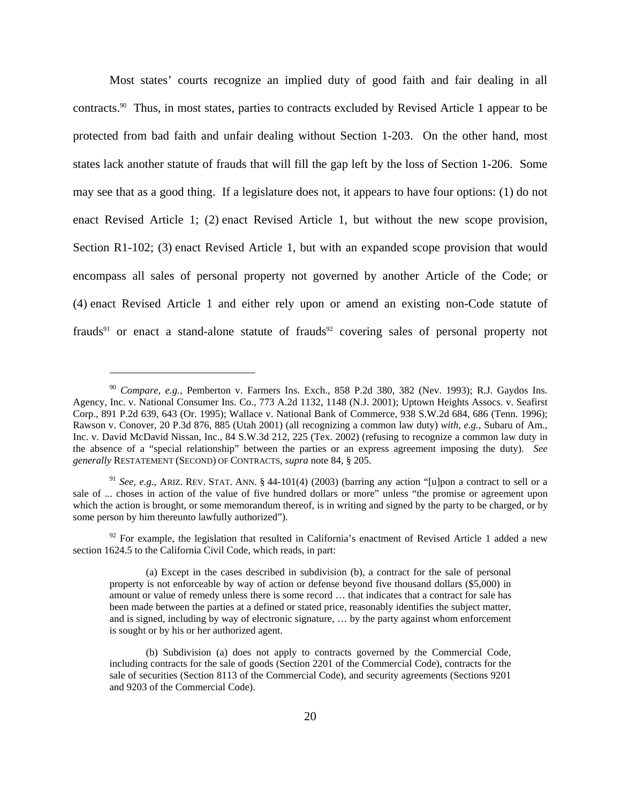Most states' courts recognize an implied duty of good faith and fair dealing in all contracts.90 Thus, in most states, parties to contracts excluded by Revised Article 1 appear to be protected from bad faith and unfair dealing without Section 1-203. On the other hand, most states lack another statute of frauds that will fill the gap left by the loss of Section 1-206. Some may see that as a good thing. If a legislature does not, it appears to have four options: (1) do not enact Revised Article 1; (2) enact Revised Article 1, but without the new scope provision, Section R1-102; (3) enact Revised Article 1, but with an expanded scope provision that would encompass all sales of personal property not governed by another Article of the Code; or (4) enact Revised Article 1 and either rely upon or amend an existing non-Code statute of frauds<sup>91</sup> or enact a stand-alone statute of frauds<sup>92</sup> covering sales of personal property not

<sup>90</sup> *Compare, e.g.*, Pemberton v. Farmers Ins. Exch., 858 P.2d 380, 382 (Nev. 1993); R.J. Gaydos Ins. Agency, Inc. v. National Consumer Ins. Co., 773 A.2d 1132, 1148 (N.J. 2001); Uptown Heights Assocs. v. Seafirst Corp., 891 P.2d 639, 643 (Or. 1995); Wallace v. National Bank of Commerce, 938 S.W.2d 684, 686 (Tenn. 1996); Rawson v. Conover, 20 P.3d 876, 885 (Utah 2001) (all recognizing a common law duty) *with, e.g.*, Subaru of Am., Inc. v. David McDavid Nissan, Inc., 84 S.W.3d 212, 225 (Tex. 2002) (refusing to recognize a common law duty in the absence of a "special relationship" between the parties or an express agreement imposing the duty). *See generally* RESTATEMENT (SECOND) OF CONTRACTS, *supra* note 84, § 205.

<sup>&</sup>lt;sup>91</sup> *See, e.g.*, ARIZ. REV. STAT. ANN. § 44-101(4) (2003) (barring any action "[u]pon a contract to sell or a sale of ... choses in action of the value of five hundred dollars or more" unless "the promise or agreement upon which the action is brought, or some memorandum thereof, is in writing and signed by the party to be charged, or by some person by him thereunto lawfully authorized").

 $92$  For example, the legislation that resulted in California's enactment of Revised Article 1 added a new section 1624.5 to the California Civil Code, which reads, in part:

<sup>(</sup>a) Except in the cases described in subdivision (b), a contract for the sale of personal property is not enforceable by way of action or defense beyond five thousand dollars (\$5,000) in amount or value of remedy unless there is some record … that indicates that a contract for sale has been made between the parties at a defined or stated price, reasonably identifies the subject matter, and is signed, including by way of electronic signature, … by the party against whom enforcement is sought or by his or her authorized agent.

<sup>(</sup>b) Subdivision (a) does not apply to contracts governed by the Commercial Code, including contracts for the sale of goods (Section 2201 of the Commercial Code), contracts for the sale of securities (Section 8113 of the Commercial Code), and security agreements (Sections 9201 and 9203 of the Commercial Code).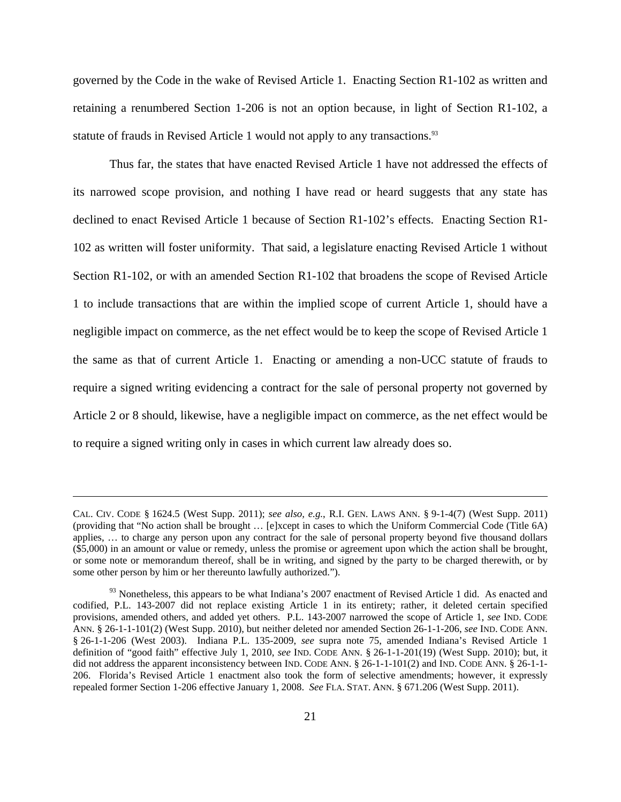governed by the Code in the wake of Revised Article 1. Enacting Section R1-102 as written and retaining a renumbered Section 1-206 is not an option because, in light of Section R1-102, a statute of frauds in Revised Article 1 would not apply to any transactions.<sup>93</sup>

Thus far, the states that have enacted Revised Article 1 have not addressed the effects of its narrowed scope provision, and nothing I have read or heard suggests that any state has declined to enact Revised Article 1 because of Section R1-102's effects. Enacting Section R1- 102 as written will foster uniformity. That said, a legislature enacting Revised Article 1 without Section R1-102, or with an amended Section R1-102 that broadens the scope of Revised Article 1 to include transactions that are within the implied scope of current Article 1, should have a negligible impact on commerce, as the net effect would be to keep the scope of Revised Article 1 the same as that of current Article 1. Enacting or amending a non-UCC statute of frauds to require a signed writing evidencing a contract for the sale of personal property not governed by Article 2 or 8 should, likewise, have a negligible impact on commerce, as the net effect would be to require a signed writing only in cases in which current law already does so.

CAL. CIV. CODE § 1624.5 (West Supp. 2011); *see also, e.g.*, R.I. GEN. LAWS ANN. § 9-1-4(7) (West Supp. 2011) (providing that "No action shall be brought … [e]xcept in cases to which the Uniform Commercial Code (Title 6A) applies, … to charge any person upon any contract for the sale of personal property beyond five thousand dollars (\$5,000) in an amount or value or remedy, unless the promise or agreement upon which the action shall be brought, or some note or memorandum thereof, shall be in writing, and signed by the party to be charged therewith, or by some other person by him or her thereunto lawfully authorized.").

 $93$  Nonetheless, this appears to be what Indiana's 2007 enactment of Revised Article 1 did. As enacted and codified, P.L. 143-2007 did not replace existing Article 1 in its entirety; rather, it deleted certain specified provisions, amended others, and added yet others. P.L. 143-2007 narrowed the scope of Article 1, *see* IND. CODE ANN. § 26-1-1-101(2) (West Supp. 2010), but neither deleted nor amended Section 26-1-1-206, *see* IND. CODE ANN. § 26-1-1-206 (West 2003). Indiana P.L. 135-2009, *see* supra note 75, amended Indiana's Revised Article 1 definition of "good faith" effective July 1, 2010, *see* IND. CODE ANN. § 26-1-1-201(19) (West Supp. 2010); but, it did not address the apparent inconsistency between IND. CODE ANN. § 26-1-1-101(2) and IND. CODE ANN. § 26-1-1-206. Florida's Revised Article 1 enactment also took the form of selective amendments; however, it expressly repealed former Section 1-206 effective January 1, 2008. *See* FLA. STAT. ANN. § 671.206 (West Supp. 2011).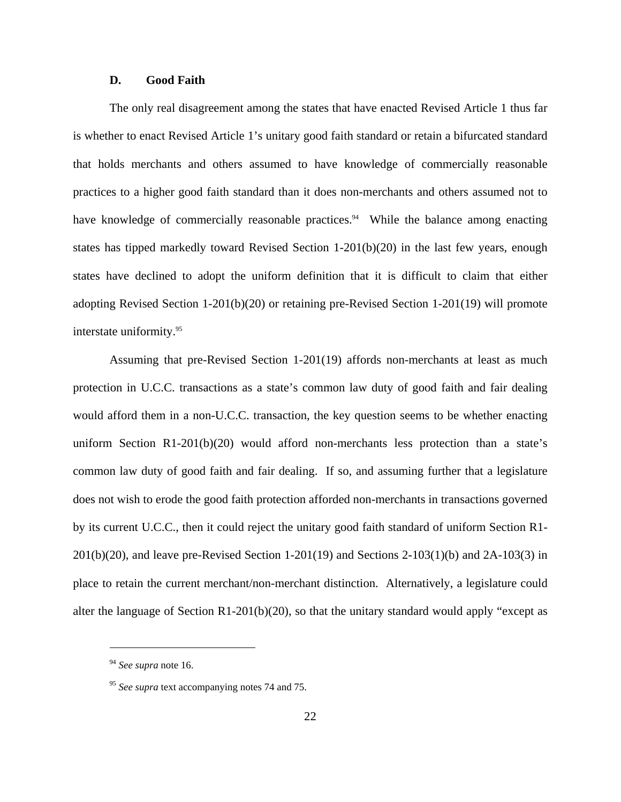# **D. Good Faith**

The only real disagreement among the states that have enacted Revised Article 1 thus far is whether to enact Revised Article 1's unitary good faith standard or retain a bifurcated standard that holds merchants and others assumed to have knowledge of commercially reasonable practices to a higher good faith standard than it does non-merchants and others assumed not to have knowledge of commercially reasonable practices.<sup>94</sup> While the balance among enacting states has tipped markedly toward Revised Section 1-201(b)(20) in the last few years, enough states have declined to adopt the uniform definition that it is difficult to claim that either adopting Revised Section 1-201(b)(20) or retaining pre-Revised Section 1-201(19) will promote interstate uniformity.95

Assuming that pre-Revised Section 1-201(19) affords non-merchants at least as much protection in U.C.C. transactions as a state's common law duty of good faith and fair dealing would afford them in a non-U.C.C. transaction, the key question seems to be whether enacting uniform Section R1-201(b)(20) would afford non-merchants less protection than a state's common law duty of good faith and fair dealing. If so, and assuming further that a legislature does not wish to erode the good faith protection afforded non-merchants in transactions governed by its current U.C.C., then it could reject the unitary good faith standard of uniform Section R1-  $201(b)(20)$ , and leave pre-Revised Section 1-201(19) and Sections 2-103(1)(b) and 2A-103(3) in place to retain the current merchant/non-merchant distinction. Alternatively, a legislature could alter the language of Section  $R1-201(b)(20)$ , so that the unitary standard would apply "except as

<sup>94</sup> *See supra* note 16.

<sup>&</sup>lt;sup>95</sup> *See supra* text accompanying notes 74 and 75.